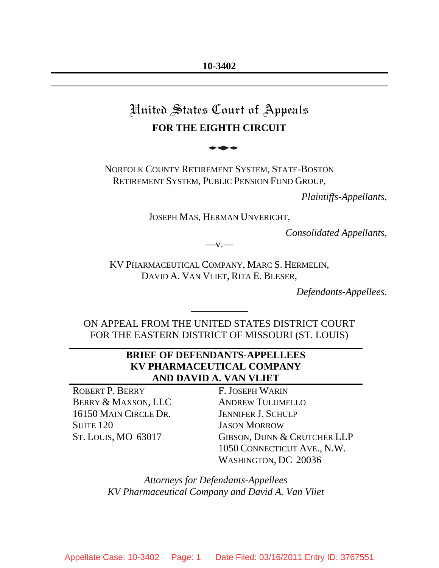## Hnited States Court of Appeals **FOR THE EIGHTH CIRCUIT**

NORFOLK COUNTY RETIREMENT SYSTEM, STATE-BOSTON RETIREMENT SYSTEM, PUBLIC PENSION FUND GROUP,

*Plaintiffs-Appellants,* 

JOSEPH MAS, HERMAN UNVERICHT,

*Consolidated Appellants,* 

 $-v =$ 

KV PHARMACEUTICAL COMPANY, MARC S. HERMELIN, DAVID A. VAN VLIET, RITA E. BLESER,

*Defendants-Appellees.* 

ON APPEAL FROM THE UNITED STATES DISTRICT COURT FOR THE EASTERN DISTRICT OF MISSOURI (ST. LOUIS)

## **BRIEF OF DEFENDANTS-APPELLEES KV PHARMACEUTICAL COMPANY AND DAVID A. VAN VLIET**

ROBERT P. BERRY BERRY & MAXSON, LLC 16150 MAIN CIRCLE DR. SUITE 120 ST. LOUIS, MO 63017

F. JOSEPH WARIN ANDREW TULUMELLO JENNIFER J. SCHULP JASON MORROW GIBSON, DUNN & CRUTCHER LLP 1050 CONNECTICUT AVE., N.W. WASHINGTON, DC 20036

*Attorneys for Defendants-Appellees KV Pharmaceutical Company and David A. Van Vliet*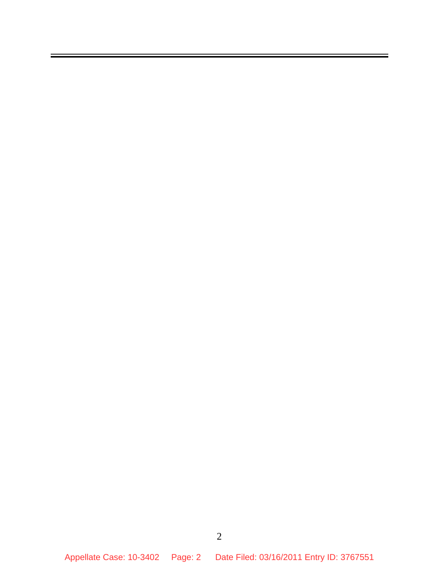2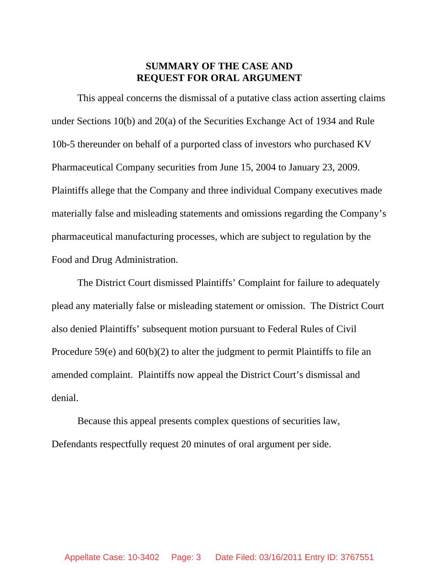## **SUMMARY OF THE CASE AND REQUEST FOR ORAL ARGUMENT**

This appeal concerns the dismissal of a putative class action asserting claims under Sections 10(b) and 20(a) of the Securities Exchange Act of 1934 and Rule 10b-5 thereunder on behalf of a purported class of investors who purchased KV Pharmaceutical Company securities from June 15, 2004 to January 23, 2009. Plaintiffs allege that the Company and three individual Company executives made materially false and misleading statements and omissions regarding the Company's pharmaceutical manufacturing processes, which are subject to regulation by the Food and Drug Administration.

The District Court dismissed Plaintiffs' Complaint for failure to adequately plead any materially false or misleading statement or omission. The District Court also denied Plaintiffs' subsequent motion pursuant to Federal Rules of Civil Procedure 59(e) and 60(b)(2) to alter the judgment to permit Plaintiffs to file an amended complaint. Plaintiffs now appeal the District Court's dismissal and denial.

Because this appeal presents complex questions of securities law, Defendants respectfully request 20 minutes of oral argument per side.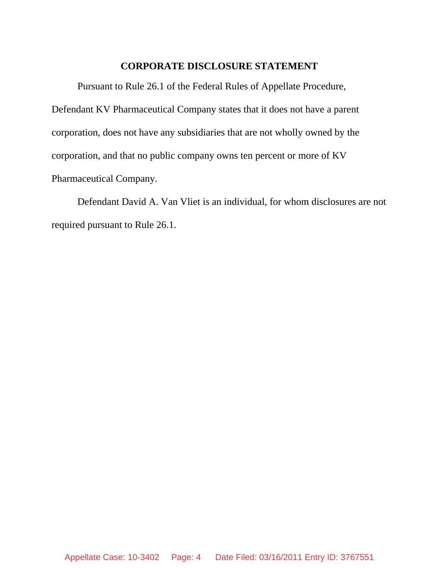## **CORPORATE DISCLOSURE STATEMENT**

Pursuant to Rule 26.1 of the Federal Rules of Appellate Procedure,

Defendant KV Pharmaceutical Company states that it does not have a parent corporation, does not have any subsidiaries that are not wholly owned by the corporation, and that no public company owns ten percent or more of KV Pharmaceutical Company.

Defendant David A. Van Vliet is an individual, for whom disclosures are not required pursuant to Rule 26.1.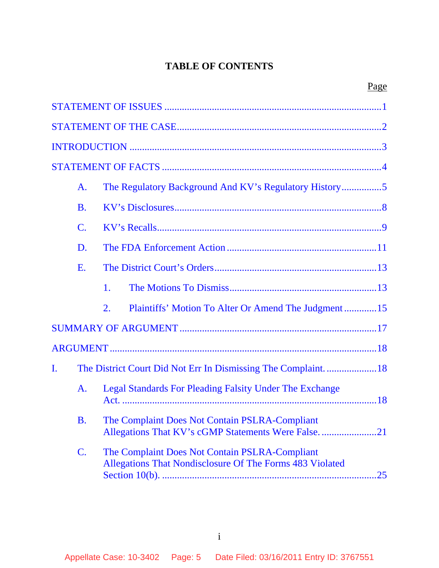## **TABLE OF CONTENTS**

| The Regulatory Background And KV's Regulatory History5<br>A.                                                                 |  |
|------------------------------------------------------------------------------------------------------------------------------|--|
| <b>B.</b>                                                                                                                    |  |
| $\mathsf{C}.$                                                                                                                |  |
| D.                                                                                                                           |  |
| Ε.                                                                                                                           |  |
| 1.                                                                                                                           |  |
| Plaintiffs' Motion To Alter Or Amend The Judgment15<br>2.                                                                    |  |
|                                                                                                                              |  |
|                                                                                                                              |  |
| The District Court Did Not Err In Dismissing The Complaint18<br>$\mathbf{I}$ .                                               |  |
| <b>Legal Standards For Pleading Falsity Under The Exchange</b><br>$A_{\cdot}$                                                |  |
| The Complaint Does Not Contain PSLRA-Compliant<br>$\mathbf{B}$ .                                                             |  |
| The Complaint Does Not Contain PSLRA-Compliant<br>$\mathbf{C}$ .<br>Allegations That Nondisclosure Of The Forms 483 Violated |  |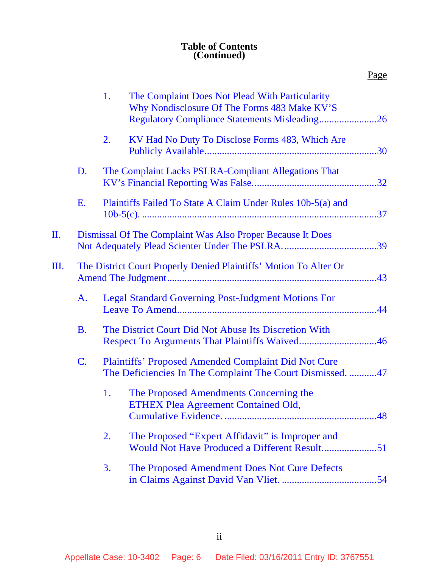|    |           | 1. | The Complaint Does Not Plead With Particularity<br>Why Nondisclosure Of The Forms 483 Make KV'S<br>Regulatory Compliance Statements Misleading26 |  |
|----|-----------|----|--------------------------------------------------------------------------------------------------------------------------------------------------|--|
|    |           | 2. | KV Had No Duty To Disclose Forms 483, Which Are                                                                                                  |  |
|    | D.        |    | The Complaint Lacks PSLRA-Compliant Allegations That                                                                                             |  |
|    | Ε.        |    | Plaintiffs Failed To State A Claim Under Rules 10b-5(a) and                                                                                      |  |
| П. |           |    | Dismissal Of The Complaint Was Also Proper Because It Does                                                                                       |  |
| Ш. |           |    | The District Court Properly Denied Plaintiffs' Motion To Alter Or                                                                                |  |
|    | A.        |    | <b>Legal Standard Governing Post-Judgment Motions For</b>                                                                                        |  |
|    | <b>B.</b> |    | The District Court Did Not Abuse Its Discretion With<br>Respect To Arguments That Plaintiffs Waived46                                            |  |
|    | C.        |    | <b>Plaintiffs' Proposed Amended Complaint Did Not Cure</b><br>The Deficiencies In The Complaint The Court Dismissed. 47                          |  |
|    |           | 1. | The Proposed Amendments Concerning the<br><b>ETHEX Plea Agreement Contained Old,</b>                                                             |  |
|    |           | 2. | The Proposed "Expert Affidavit" is Improper and                                                                                                  |  |
|    |           | 3. | The Proposed Amendment Does Not Cure Defects                                                                                                     |  |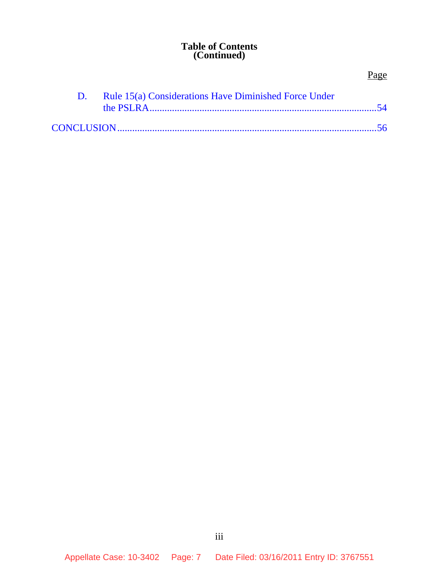## Page

| D. Rule 15(a) Considerations Have Diminished Force Under |  |
|----------------------------------------------------------|--|
|                                                          |  |
|                                                          |  |
|                                                          |  |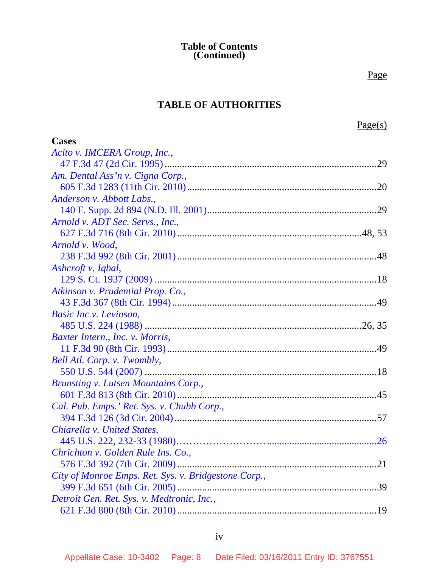## Page

## **TABLE OF AUTHORITIES**

| <b>Cases</b>                                         |
|------------------------------------------------------|
| Acito v. <b>IMCERA</b> Group, Inc.,                  |
|                                                      |
| Am. Dental Ass'n v. Cigna Corp.,                     |
|                                                      |
| Anderson v. Abbott Labs.,                            |
|                                                      |
| Arnold v. ADT Sec. Servs., Inc.,                     |
|                                                      |
| Arnold v. Wood,                                      |
|                                                      |
| Ashcroft v. Iqbal,                                   |
|                                                      |
| Atkinson v. Prudential Prop. Co.,                    |
|                                                      |
| Basic Inc.v. Levinson,                               |
|                                                      |
| Baxter Intern., Inc. v. Morris,                      |
|                                                      |
| <b>Bell Atl. Corp. v. Twombly,</b>                   |
|                                                      |
| <b>Brunsting v. Lutsen Mountains Corp.,</b>          |
|                                                      |
| Cal. Pub. Emps.' Ret. Sys. v. Chubb Corp.,           |
|                                                      |
| Chiarella v. United States,                          |
|                                                      |
| Chrichton v. Golden Rule Ins. Co.,                   |
| .21                                                  |
| City of Monroe Emps. Ret. Sys. v. Bridgestone Corp., |
| .39                                                  |
| Detroit Gen. Ret. Sys. v. Medtronic, Inc.,           |
|                                                      |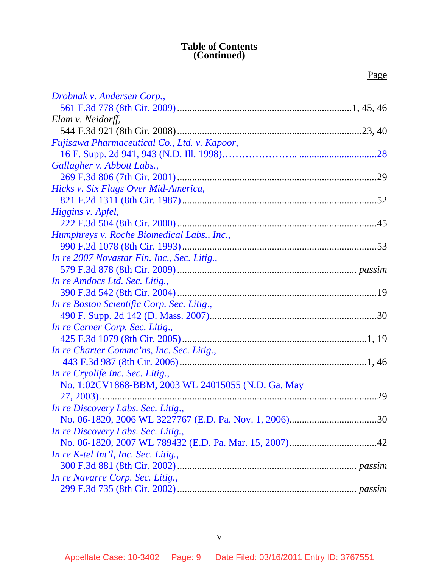| Drobnak v. Andersen Corp.,                         |     |
|----------------------------------------------------|-----|
|                                                    |     |
| Elam v. Neidorff,                                  |     |
|                                                    |     |
| Fujisawa Pharmaceutical Co., Ltd. v. Kapoor,       |     |
|                                                    |     |
| Gallagher v. Abbott Labs.,                         |     |
|                                                    |     |
| Hicks v. Six Flags Over Mid-America,               |     |
|                                                    |     |
| Higgins v. Apfel,                                  |     |
|                                                    |     |
| Humphreys v. Roche Biomedical Labs., Inc.,         |     |
|                                                    |     |
| In re 2007 Novastar Fin. Inc., Sec. Litig.,        |     |
|                                                    |     |
| In re Amdocs Ltd. Sec. Litig.,                     |     |
|                                                    |     |
| In re Boston Scientific Corp. Sec. Litig.,         |     |
|                                                    |     |
| In re Cerner Corp. Sec. Litig.,                    |     |
|                                                    |     |
| In re Charter Commc'ns, Inc. Sec. Litig.,          |     |
|                                                    |     |
| In re Cryolife Inc. Sec. Litig.,                   |     |
| No. 1:02CV1868-BBM, 2003 WL 24015055 (N.D. Ga. May |     |
|                                                    | .29 |
| In re Discovery Labs. Sec. Litig.,                 |     |
|                                                    |     |
| In re Discovery Labs. Sec. Litig.,                 |     |
|                                                    |     |
| In re K-tel Int'l, Inc. Sec. Litig.,               |     |
|                                                    |     |
| In re Navarre Corp. Sec. Litig.,                   |     |
|                                                    |     |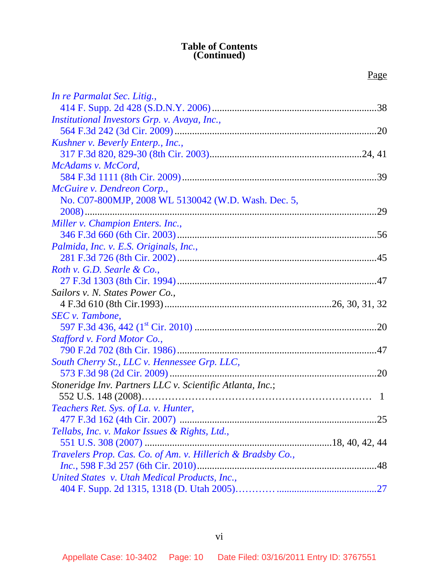| In re Parmalat Sec. Litig.,                                 |  |
|-------------------------------------------------------------|--|
|                                                             |  |
| Institutional Investors Grp. v. Avaya, Inc.,                |  |
|                                                             |  |
| <i>Kushner v. Beverly Enterp., Inc.,</i>                    |  |
|                                                             |  |
| McAdams v. McCord,                                          |  |
|                                                             |  |
| McGuire v. Dendreon Corp.,                                  |  |
| No. C07-800MJP, 2008 WL 5130042 (W.D. Wash. Dec. 5,         |  |
|                                                             |  |
| Miller v. Champion Enters. Inc.,                            |  |
|                                                             |  |
| Palmida, Inc. v. E.S. Originals, Inc.,                      |  |
|                                                             |  |
| Roth v. G.D. Searle & Co.,                                  |  |
|                                                             |  |
| Sailors v. N. States Power Co.,                             |  |
|                                                             |  |
| <b>SEC</b> v. Tambone,                                      |  |
|                                                             |  |
| Stafford v. Ford Motor Co.,                                 |  |
|                                                             |  |
| South Cherry St., LLC v. Hennessee Grp. LLC,                |  |
|                                                             |  |
| Stoneridge Inv. Partners LLC v. Scientific Atlanta, Inc.;   |  |
|                                                             |  |
| Teachers Ret. Sys. of La. v. Hunter,                        |  |
|                                                             |  |
| Tellabs, Inc. v. Makor Issues & Rights, Ltd.,               |  |
|                                                             |  |
| Travelers Prop. Cas. Co. of Am. v. Hillerich & Bradsby Co., |  |
|                                                             |  |
| United States v. Utah Medical Products, Inc.,               |  |
|                                                             |  |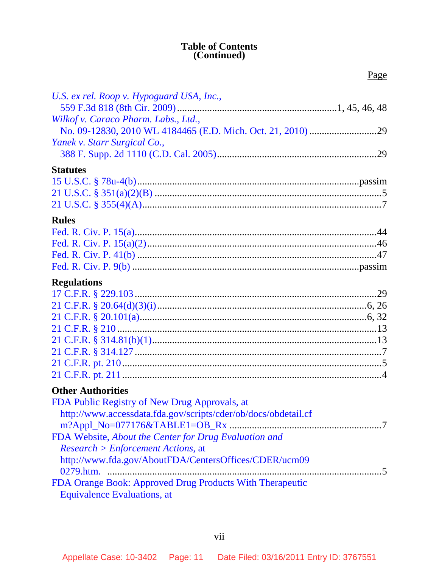## Page

| U.S. ex rel. Roop v. Hypoguard USA, Inc.,                      |
|----------------------------------------------------------------|
|                                                                |
| Wilkof v. Caraco Pharm. Labs., Ltd.,                           |
|                                                                |
| Yanek v. Starr Surgical Co.,                                   |
|                                                                |
| <b>Statutes</b>                                                |
|                                                                |
|                                                                |
|                                                                |
| <b>Rules</b>                                                   |
|                                                                |
|                                                                |
|                                                                |
|                                                                |
| <b>Regulations</b>                                             |
|                                                                |
|                                                                |
|                                                                |
|                                                                |
|                                                                |
|                                                                |
|                                                                |
|                                                                |
| <b>Other Authorities</b>                                       |
| FDA Public Registry of New Drug Approvals, at                  |
| http://www.accessdata.fda.gov/scripts/cder/ob/docs/obdetail.cf |
|                                                                |
| FDA Website, About the Center for Drug Evaluation and          |
| Research > Enforcement Actions, at                             |
| http://www.fda.gov/AboutFDA/CentersOffices/CDER/ucm09          |
| 0279.htm.<br>5                                                 |
| FDA Orange Book: Approved Drug Products With Therapeutic       |
| <b>Equivalence Evaluations, at</b>                             |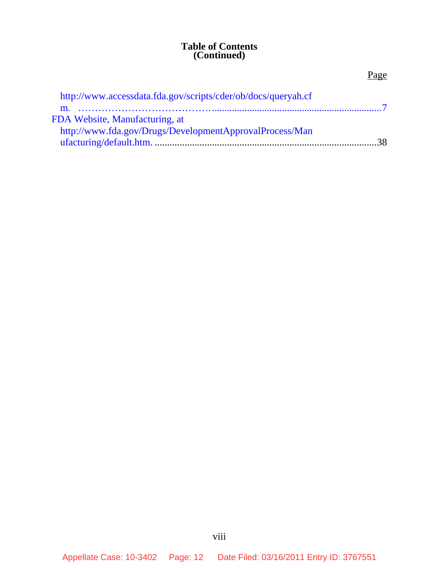## Page

| http://www.accessdata.fda.gov/scripts/cder/ob/docs/queryah.cf |  |
|---------------------------------------------------------------|--|
|                                                               |  |
| FDA Website, Manufacturing, at                                |  |
| http://www.fda.gov/Drugs/DevelopmentApprovalProcess/Man       |  |
|                                                               |  |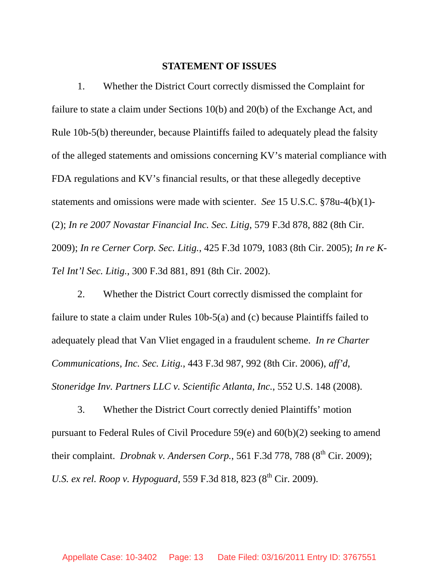#### **STATEMENT OF ISSUES**

1. Whether the District Court correctly dismissed the Complaint for failure to state a claim under Sections 10(b) and 20(b) of the Exchange Act, and Rule 10b-5(b) thereunder, because Plaintiffs failed to adequately plead the falsity of the alleged statements and omissions concerning KV's material compliance with FDA regulations and KV's financial results, or that these allegedly deceptive statements and omissions were made with scienter. *See* 15 U.S.C. §78u-4(b)(1)- (2); *In re 2007 Novastar Financial Inc. Sec. Litig*, 579 F.3d 878, 882 (8th Cir. 2009); *In re Cerner Corp. Sec. Litig.*, 425 F.3d 1079, 1083 (8th Cir. 2005); *In re K-Tel Int'l Sec. Litig.*, 300 F.3d 881, 891 (8th Cir. 2002).

2. Whether the District Court correctly dismissed the complaint for failure to state a claim under Rules 10b-5(a) and (c) because Plaintiffs failed to adequately plead that Van Vliet engaged in a fraudulent scheme. *In re Charter Communications, Inc. Sec. Litig.*, 443 F.3d 987, 992 (8th Cir. 2006), *aff'd*, *Stoneridge Inv. Partners LLC v. Scientific Atlanta, Inc.*, 552 U.S. 148 (2008).

3. Whether the District Court correctly denied Plaintiffs' motion pursuant to Federal Rules of Civil Procedure 59(e) and 60(b)(2) seeking to amend their complaint. *Drobnak v. Andersen Corp.*, 561 F.3d 778, 788 ( $8<sup>th</sup>$  Cir. 2009); *U.S. ex rel. Roop v. Hypoguard,* 559 F.3d 818, 823 (8<sup>th</sup> Cir. 2009).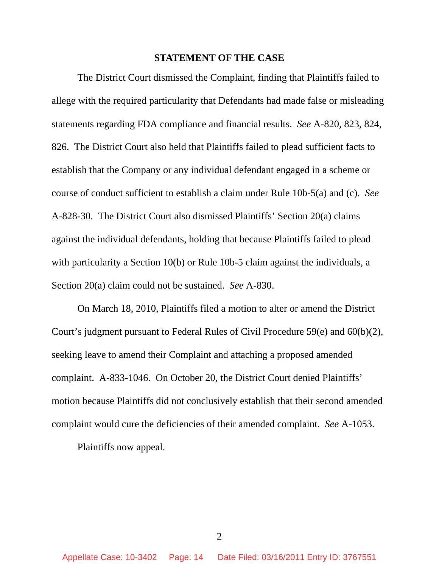#### **STATEMENT OF THE CASE**

The District Court dismissed the Complaint, finding that Plaintiffs failed to allege with the required particularity that Defendants had made false or misleading statements regarding FDA compliance and financial results. *See* A-820, 823, 824, 826. The District Court also held that Plaintiffs failed to plead sufficient facts to establish that the Company or any individual defendant engaged in a scheme or course of conduct sufficient to establish a claim under Rule 10b-5(a) and (c). *See*  A-828-30. The District Court also dismissed Plaintiffs' Section 20(a) claims against the individual defendants, holding that because Plaintiffs failed to plead with particularity a Section 10(b) or Rule 10b-5 claim against the individuals, a Section 20(a) claim could not be sustained. *See* A-830.

On March 18, 2010, Plaintiffs filed a motion to alter or amend the District Court's judgment pursuant to Federal Rules of Civil Procedure 59(e) and 60(b)(2), seeking leave to amend their Complaint and attaching a proposed amended complaint. A-833-1046. On October 20, the District Court denied Plaintiffs' motion because Plaintiffs did not conclusively establish that their second amended complaint would cure the deficiencies of their amended complaint. *See* A-1053.

Plaintiffs now appeal.

2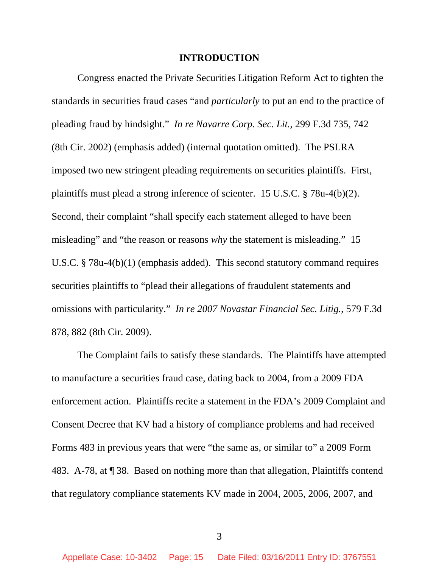#### **INTRODUCTION**

Congress enacted the Private Securities Litigation Reform Act to tighten the standards in securities fraud cases "and *particularly* to put an end to the practice of pleading fraud by hindsight." *In re Navarre Corp. Sec. Lit.*, 299 F.3d 735, 742 (8th Cir. 2002) (emphasis added) (internal quotation omitted). The PSLRA imposed two new stringent pleading requirements on securities plaintiffs. First, plaintiffs must plead a strong inference of scienter. 15 U.S.C. § 78u-4(b)(2). Second, their complaint "shall specify each statement alleged to have been misleading" and "the reason or reasons *why* the statement is misleading." 15 U.S.C. § 78u-4(b)(1) (emphasis added). This second statutory command requires securities plaintiffs to "plead their allegations of fraudulent statements and omissions with particularity." *In re 2007 Novastar Financial Sec. Litig.*, 579 F.3d 878, 882 (8th Cir. 2009).

The Complaint fails to satisfy these standards. The Plaintiffs have attempted to manufacture a securities fraud case, dating back to 2004, from a 2009 FDA enforcement action. Plaintiffs recite a statement in the FDA's 2009 Complaint and Consent Decree that KV had a history of compliance problems and had received Forms 483 in previous years that were "the same as, or similar to" a 2009 Form 483. A-78, at ¶ 38. Based on nothing more than that allegation, Plaintiffs contend that regulatory compliance statements KV made in 2004, 2005, 2006, 2007, and

3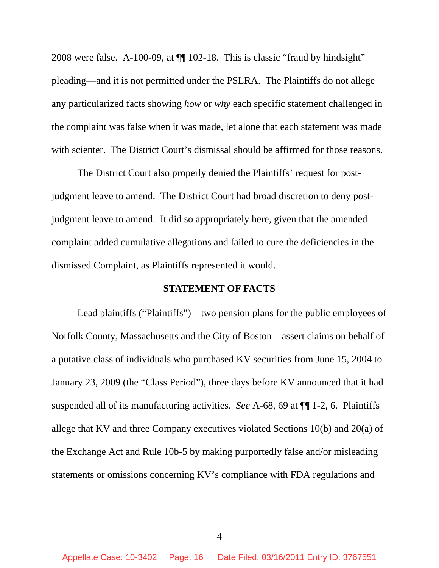2008 were false. A-100-09, at ¶¶ 102-18. This is classic "fraud by hindsight" pleading—and it is not permitted under the PSLRA. The Plaintiffs do not allege any particularized facts showing *how* or *why* each specific statement challenged in the complaint was false when it was made, let alone that each statement was made with scienter. The District Court's dismissal should be affirmed for those reasons.

The District Court also properly denied the Plaintiffs' request for postjudgment leave to amend. The District Court had broad discretion to deny postjudgment leave to amend. It did so appropriately here, given that the amended complaint added cumulative allegations and failed to cure the deficiencies in the dismissed Complaint, as Plaintiffs represented it would.

#### **STATEMENT OF FACTS**

Lead plaintiffs ("Plaintiffs")—two pension plans for the public employees of Norfolk County, Massachusetts and the City of Boston—assert claims on behalf of a putative class of individuals who purchased KV securities from June 15, 2004 to January 23, 2009 (the "Class Period"), three days before KV announced that it had suspended all of its manufacturing activities. *See* A-68, 69 at ¶¶ 1-2, 6. Plaintiffs allege that KV and three Company executives violated Sections 10(b) and 20(a) of the Exchange Act and Rule 10b-5 by making purportedly false and/or misleading statements or omissions concerning KV's compliance with FDA regulations and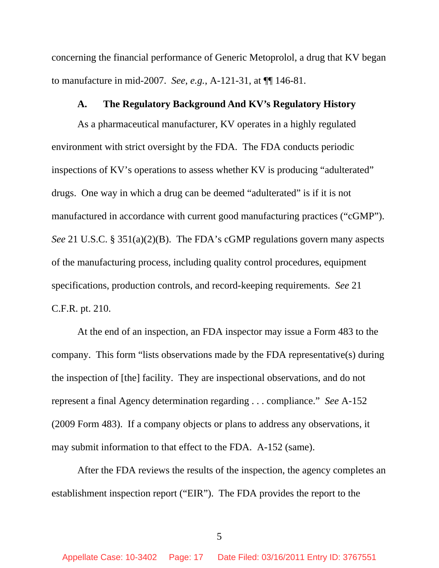concerning the financial performance of Generic Metoprolol, a drug that KV began to manufacture in mid-2007. *See*, *e.g.*, A-121-31, at ¶¶ 146-81.

#### **A. The Regulatory Background And KV's Regulatory History**

As a pharmaceutical manufacturer, KV operates in a highly regulated environment with strict oversight by the FDA. The FDA conducts periodic inspections of KV's operations to assess whether KV is producing "adulterated" drugs. One way in which a drug can be deemed "adulterated" is if it is not manufactured in accordance with current good manufacturing practices ("cGMP"). *See* 21 U.S.C. § 351(a)(2)(B). The FDA's cGMP regulations govern many aspects of the manufacturing process, including quality control procedures, equipment specifications, production controls, and record-keeping requirements. *See* 21 C.F.R. pt. 210.

At the end of an inspection, an FDA inspector may issue a Form 483 to the company. This form "lists observations made by the FDA representative(s) during the inspection of [the] facility. They are inspectional observations, and do not represent a final Agency determination regarding . . . compliance." *See* A-152 (2009 Form 483). If a company objects or plans to address any observations, it may submit information to that effect to the FDA. A-152 (same).

After the FDA reviews the results of the inspection, the agency completes an establishment inspection report ("EIR"). The FDA provides the report to the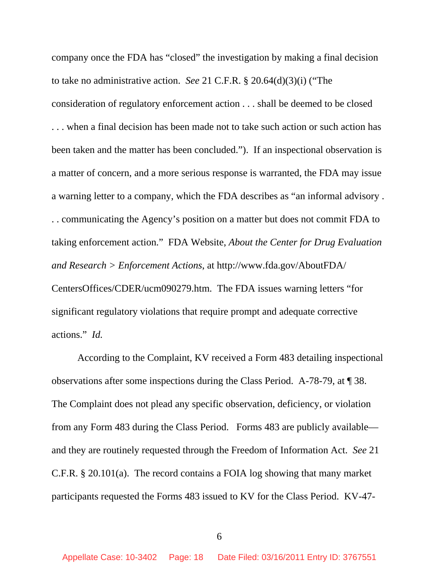company once the FDA has "closed" the investigation by making a final decision to take no administrative action. *See* 21 C.F.R. § 20.64(d)(3)(i) ("The consideration of regulatory enforcement action . . . shall be deemed to be closed . . . when a final decision has been made not to take such action or such action has been taken and the matter has been concluded."). If an inspectional observation is a matter of concern, and a more serious response is warranted, the FDA may issue a warning letter to a company, which the FDA describes as "an informal advisory . . . communicating the Agency's position on a matter but does not commit FDA to taking enforcement action." FDA Website, *About the Center for Drug Evaluation and Research > Enforcement Actions*, at http://www.fda.gov/AboutFDA/ CentersOffices/CDER/ucm090279.htm. The FDA issues warning letters "for significant regulatory violations that require prompt and adequate corrective actions." *Id.*

According to the Complaint, KV received a Form 483 detailing inspectional observations after some inspections during the Class Period. A-78-79, at ¶ 38. The Complaint does not plead any specific observation, deficiency, or violation from any Form 483 during the Class Period. Forms 483 are publicly available and they are routinely requested through the Freedom of Information Act. *See* 21 C.F.R. § 20.101(a). The record contains a FOIA log showing that many market participants requested the Forms 483 issued to KV for the Class Period. KV-47-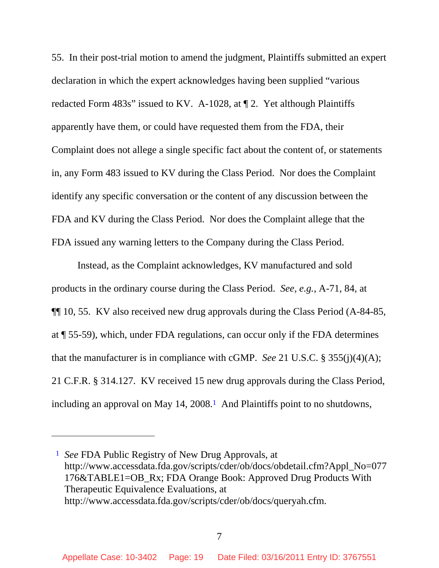55. In their post-trial motion to amend the judgment, Plaintiffs submitted an expert declaration in which the expert acknowledges having been supplied "various redacted Form 483s" issued to KV. A-1028, at ¶ 2. Yet although Plaintiffs apparently have them, or could have requested them from the FDA, their Complaint does not allege a single specific fact about the content of, or statements in, any Form 483 issued to KV during the Class Period. Nor does the Complaint identify any specific conversation or the content of any discussion between the FDA and KV during the Class Period. Nor does the Complaint allege that the FDA issued any warning letters to the Company during the Class Period.

Instead, as the Complaint acknowledges, KV manufactured and sold products in the ordinary course during the Class Period. *See, e.g.*, A-71, 84, at ¶¶ 10, 55. KV also received new drug approvals during the Class Period (A-84-85, at ¶ 55-59), which, under FDA regulations, can occur only if the FDA determines that the manufacturer is in compliance with cGMP. *See* 21 U.S.C. § 355(j)(4)(A); 21 C.F.R. § 314.127. KV received 15 new drug approvals during the Class Period, including an approval on May 14, 2008.<sup>1</sup> And Plaintiffs point to no shutdowns,

<sup>1</sup> *See* FDA Public Registry of New Drug Approvals, at http://www.accessdata.fda.gov/scripts/cder/ob/docs/obdetail.cfm?Appl\_No=077 176&TABLE1=OB\_Rx; FDA Orange Book: Approved Drug Products With Therapeutic Equivalence Evaluations, at http://www.accessdata.fda.gov/scripts/cder/ob/docs/queryah.cfm.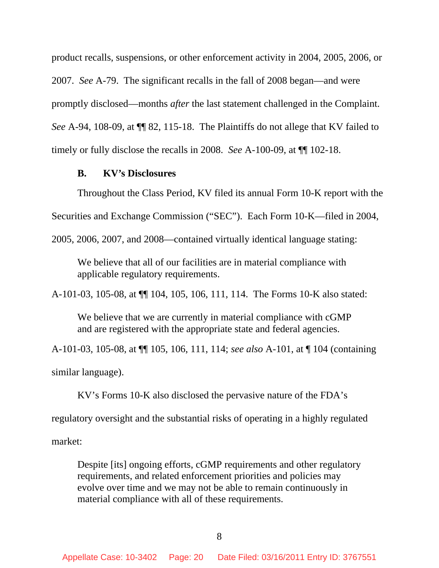product recalls, suspensions, or other enforcement activity in 2004, 2005, 2006, or 2007. *See* A-79. The significant recalls in the fall of 2008 began—and were

promptly disclosed—months *after* the last statement challenged in the Complaint. *See* A-94, 108-09, at ¶¶ 82, 115-18. The Plaintiffs do not allege that KV failed to

timely or fully disclose the recalls in 2008. *See* A-100-09, at ¶¶ 102-18.

## **B. KV's Disclosures**

Throughout the Class Period, KV filed its annual Form 10-K report with the

Securities and Exchange Commission ("SEC"). Each Form 10-K—filed in 2004,

2005, 2006, 2007, and 2008—contained virtually identical language stating:

We believe that all of our facilities are in material compliance with applicable regulatory requirements.

A-101-03, 105-08, at ¶¶ 104, 105, 106, 111, 114. The Forms 10-K also stated:

We believe that we are currently in material compliance with cGMP and are registered with the appropriate state and federal agencies.

A-101-03, 105-08, at ¶¶ 105, 106, 111, 114; *see also* A-101, at ¶ 104 (containing similar language).

KV's Forms 10-K also disclosed the pervasive nature of the FDA's

regulatory oversight and the substantial risks of operating in a highly regulated

market:

Despite [its] ongoing efforts, cGMP requirements and other regulatory requirements, and related enforcement priorities and policies may evolve over time and we may not be able to remain continuously in material compliance with all of these requirements.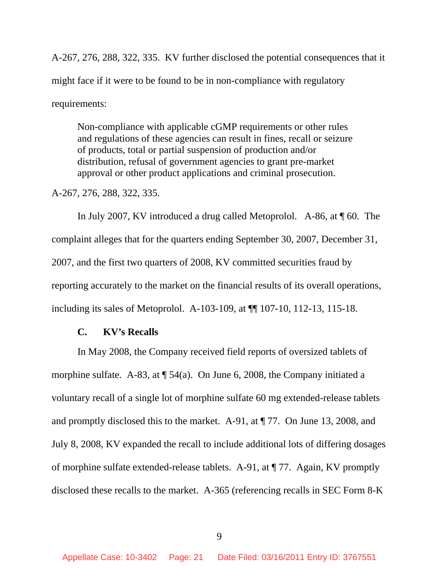A-267, 276, 288, 322, 335. KV further disclosed the potential consequences that it might face if it were to be found to be in non-compliance with regulatory requirements:

Non-compliance with applicable cGMP requirements or other rules and regulations of these agencies can result in fines, recall or seizure of products, total or partial suspension of production and/or distribution, refusal of government agencies to grant pre-market approval or other product applications and criminal prosecution.

A-267, 276, 288, 322, 335.

In July 2007, KV introduced a drug called Metoprolol. A-86, at ¶ 60. The complaint alleges that for the quarters ending September 30, 2007, December 31, 2007, and the first two quarters of 2008, KV committed securities fraud by reporting accurately to the market on the financial results of its overall operations, including its sales of Metoprolol. A-103-109, at ¶¶ 107-10, 112-13, 115-18.

#### **C. KV's Recalls**

In May 2008, the Company received field reports of oversized tablets of morphine sulfate. A-83, at  $\P$  54(a). On June 6, 2008, the Company initiated a voluntary recall of a single lot of morphine sulfate 60 mg extended-release tablets and promptly disclosed this to the market. A-91, at ¶ 77. On June 13, 2008, and July 8, 2008, KV expanded the recall to include additional lots of differing dosages of morphine sulfate extended-release tablets. A-91, at ¶ 77. Again, KV promptly disclosed these recalls to the market. A-365 (referencing recalls in SEC Form 8-K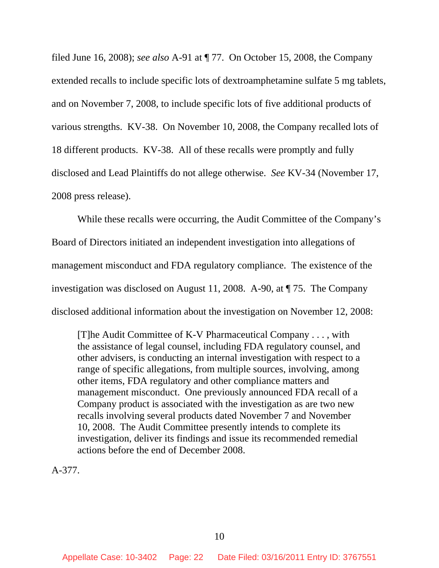filed June 16, 2008); *see also* A-91 at ¶ 77. On October 15, 2008, the Company extended recalls to include specific lots of dextroamphetamine sulfate 5 mg tablets, and on November 7, 2008, to include specific lots of five additional products of various strengths. KV-38. On November 10, 2008, the Company recalled lots of 18 different products. KV-38. All of these recalls were promptly and fully disclosed and Lead Plaintiffs do not allege otherwise. *See* KV-34 (November 17, 2008 press release).

While these recalls were occurring, the Audit Committee of the Company's Board of Directors initiated an independent investigation into allegations of management misconduct and FDA regulatory compliance. The existence of the investigation was disclosed on August 11, 2008. A-90, at ¶ 75. The Company disclosed additional information about the investigation on November 12, 2008:

[T]he Audit Committee of K-V Pharmaceutical Company . . . , with the assistance of legal counsel, including FDA regulatory counsel, and other advisers, is conducting an internal investigation with respect to a range of specific allegations, from multiple sources, involving, among other items, FDA regulatory and other compliance matters and management misconduct. One previously announced FDA recall of a Company product is associated with the investigation as are two new recalls involving several products dated November 7 and November 10, 2008. The Audit Committee presently intends to complete its investigation, deliver its findings and issue its recommended remedial actions before the end of December 2008.

A-377.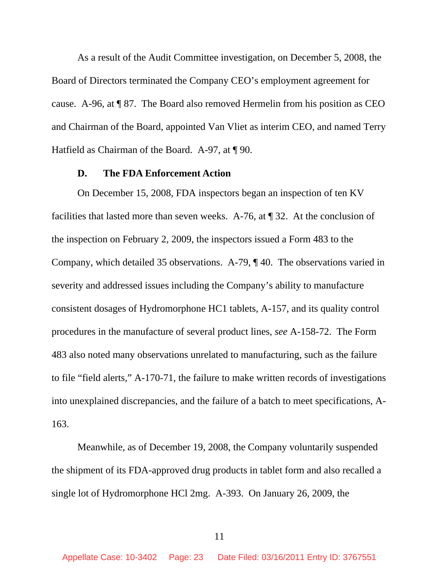As a result of the Audit Committee investigation, on December 5, 2008, the Board of Directors terminated the Company CEO's employment agreement for cause. A-96, at ¶ 87. The Board also removed Hermelin from his position as CEO and Chairman of the Board, appointed Van Vliet as interim CEO, and named Terry Hatfield as Chairman of the Board. A-97, at ¶ 90.

#### **D. The FDA Enforcement Action**

On December 15, 2008, FDA inspectors began an inspection of ten KV facilities that lasted more than seven weeks. A-76, at ¶ 32. At the conclusion of the inspection on February 2, 2009, the inspectors issued a Form 483 to the Company, which detailed 35 observations. A-79, ¶ 40. The observations varied in severity and addressed issues including the Company's ability to manufacture consistent dosages of Hydromorphone HC1 tablets, A-157, and its quality control procedures in the manufacture of several product lines, *see* A-158-72. The Form 483 also noted many observations unrelated to manufacturing, such as the failure to file "field alerts," A-170-71, the failure to make written records of investigations into unexplained discrepancies, and the failure of a batch to meet specifications, A-163.

Meanwhile, as of December 19, 2008, the Company voluntarily suspended the shipment of its FDA-approved drug products in tablet form and also recalled a single lot of Hydromorphone HCl 2mg. A-393. On January 26, 2009, the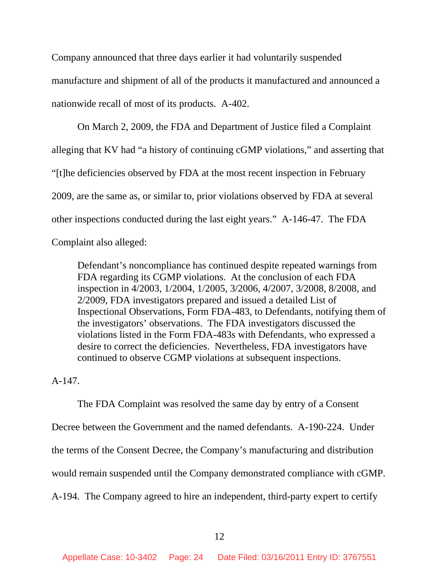Company announced that three days earlier it had voluntarily suspended manufacture and shipment of all of the products it manufactured and announced a nationwide recall of most of its products. A-402.

On March 2, 2009, the FDA and Department of Justice filed a Complaint alleging that KV had "a history of continuing cGMP violations," and asserting that "[t]he deficiencies observed by FDA at the most recent inspection in February 2009, are the same as, or similar to, prior violations observed by FDA at several other inspections conducted during the last eight years." A-146-47. The FDA Complaint also alleged:

Defendant's noncompliance has continued despite repeated warnings from FDA regarding its CGMP violations. At the conclusion of each FDA inspection in 4/2003, 1/2004, 1/2005, 3/2006, 4/2007, 3/2008, 8/2008, and 2/2009, FDA investigators prepared and issued a detailed List of Inspectional Observations, Form FDA-483, to Defendants, notifying them of the investigators' observations. The FDA investigators discussed the violations listed in the Form FDA-483s with Defendants, who expressed a desire to correct the deficiencies. Nevertheless, FDA investigators have continued to observe CGMP violations at subsequent inspections.

A-147.

The FDA Complaint was resolved the same day by entry of a Consent Decree between the Government and the named defendants. A-190-224. Under the terms of the Consent Decree, the Company's manufacturing and distribution would remain suspended until the Company demonstrated compliance with cGMP. A-194. The Company agreed to hire an independent, third-party expert to certify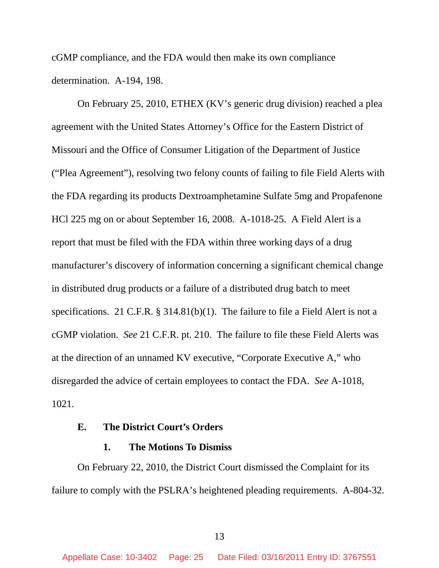cGMP compliance, and the FDA would then make its own compliance determination. A-194, 198.

On February 25, 2010, ETHEX (KV's generic drug division) reached a plea agreement with the United States Attorney's Office for the Eastern District of Missouri and the Office of Consumer Litigation of the Department of Justice ("Plea Agreement"), resolving two felony counts of failing to file Field Alerts with the FDA regarding its products Dextroamphetamine Sulfate 5mg and Propafenone HCl 225 mg on or about September 16, 2008. A-1018-25. A Field Alert is a report that must be filed with the FDA within three working days of a drug manufacturer's discovery of information concerning a significant chemical change in distributed drug products or a failure of a distributed drug batch to meet specifications. 21 C.F.R. § 314.81(b)(1). The failure to file a Field Alert is not a cGMP violation. *See* 21 C.F.R. pt. 210. The failure to file these Field Alerts was at the direction of an unnamed KV executive, "Corporate Executive A," who disregarded the advice of certain employees to contact the FDA. *See* A-1018, 1021.

#### **E. The District Court's Orders**

#### **1. The Motions To Dismiss**

On February 22, 2010, the District Court dismissed the Complaint for its failure to comply with the PSLRA's heightened pleading requirements. A-804-32.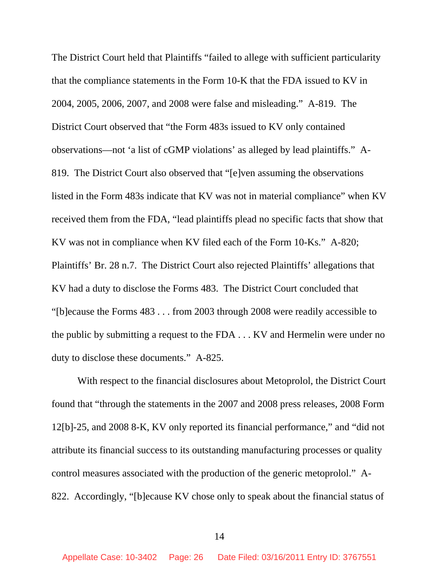The District Court held that Plaintiffs "failed to allege with sufficient particularity that the compliance statements in the Form 10-K that the FDA issued to KV in 2004, 2005, 2006, 2007, and 2008 were false and misleading." A-819. The District Court observed that "the Form 483s issued to KV only contained observations—not 'a list of cGMP violations' as alleged by lead plaintiffs." A-819.The District Court also observed that "[e]ven assuming the observations listed in the Form 483s indicate that KV was not in material compliance" when KV received them from the FDA, "lead plaintiffs plead no specific facts that show that KV was not in compliance when KV filed each of the Form 10-Ks." A-820; Plaintiffs' Br. 28 n.7. The District Court also rejected Plaintiffs' allegations that KV had a duty to disclose the Forms 483. The District Court concluded that "[b]ecause the Forms 483 . . . from 2003 through 2008 were readily accessible to the public by submitting a request to the FDA . . . KV and Hermelin were under no duty to disclose these documents." A-825.

With respect to the financial disclosures about Metoprolol, the District Court found that "through the statements in the 2007 and 2008 press releases, 2008 Form 12[b]-25, and 2008 8-K, KV only reported its financial performance," and "did not attribute its financial success to its outstanding manufacturing processes or quality control measures associated with the production of the generic metoprolol." A-822. Accordingly, "[b]ecause KV chose only to speak about the financial status of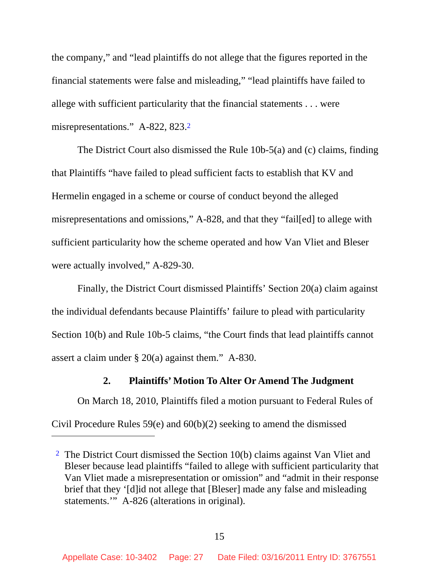the company," and "lead plaintiffs do not allege that the figures reported in the financial statements were false and misleading," "lead plaintiffs have failed to allege with sufficient particularity that the financial statements . . . were misrepresentations." A-822, 823.2

The District Court also dismissed the Rule 10b-5(a) and (c) claims, finding that Plaintiffs "have failed to plead sufficient facts to establish that KV and Hermelin engaged in a scheme or course of conduct beyond the alleged misrepresentations and omissions," A-828, and that they "fail[ed] to allege with sufficient particularity how the scheme operated and how Van Vliet and Bleser were actually involved," A-829-30.

Finally, the District Court dismissed Plaintiffs' Section 20(a) claim against the individual defendants because Plaintiffs' failure to plead with particularity Section 10(b) and Rule 10b-5 claims, "the Court finds that lead plaintiffs cannot assert a claim under § 20(a) against them." A-830.

#### **2. Plaintiffs' Motion To Alter Or Amend The Judgment**

On March 18, 2010, Plaintiffs filed a motion pursuant to Federal Rules of Civil Procedure Rules 59(e) and 60(b)(2) seeking to amend the dismissed

<sup>2</sup> The District Court dismissed the Section 10(b) claims against Van Vliet and Bleser because lead plaintiffs "failed to allege with sufficient particularity that Van Vliet made a misrepresentation or omission" and "admit in their response brief that they '[d]id not allege that [Bleser] made any false and misleading statements." A-826 (alterations in original).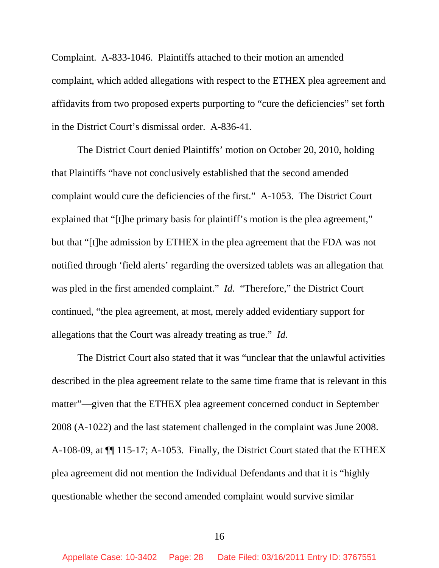Complaint. A-833-1046. Plaintiffs attached to their motion an amended complaint, which added allegations with respect to the ETHEX plea agreement and affidavits from two proposed experts purporting to "cure the deficiencies" set forth in the District Court's dismissal order. A-836-41.

The District Court denied Plaintiffs' motion on October 20, 2010, holding that Plaintiffs "have not conclusively established that the second amended complaint would cure the deficiencies of the first." A-1053. The District Court explained that "[t]he primary basis for plaintiff's motion is the plea agreement," but that "[t]he admission by ETHEX in the plea agreement that the FDA was not notified through 'field alerts' regarding the oversized tablets was an allegation that was pled in the first amended complaint." *Id.* "Therefore," the District Court continued, "the plea agreement, at most, merely added evidentiary support for allegations that the Court was already treating as true." *Id.*

The District Court also stated that it was "unclear that the unlawful activities described in the plea agreement relate to the same time frame that is relevant in this matter"—given that the ETHEX plea agreement concerned conduct in September 2008 (A-1022) and the last statement challenged in the complaint was June 2008. A-108-09, at ¶¶ 115-17; A-1053. Finally, the District Court stated that the ETHEX plea agreement did not mention the Individual Defendants and that it is "highly questionable whether the second amended complaint would survive similar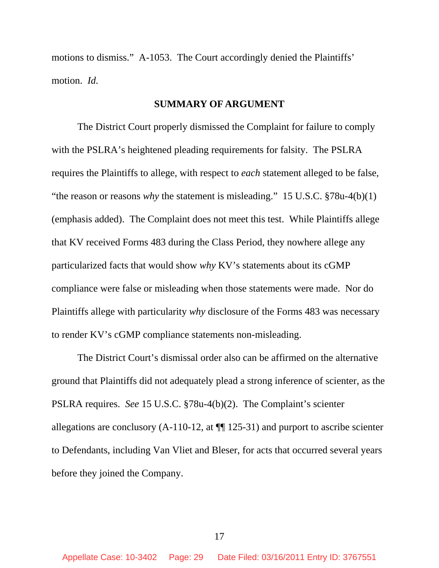motions to dismiss." A-1053. The Court accordingly denied the Plaintiffs' motion. *Id.*

#### **SUMMARY OF ARGUMENT**

The District Court properly dismissed the Complaint for failure to comply with the PSLRA's heightened pleading requirements for falsity. The PSLRA requires the Plaintiffs to allege, with respect to *each* statement alleged to be false, "the reason or reasons *why* the statement is misleading." 15 U.S.C. §78u-4(b)(1) (emphasis added). The Complaint does not meet this test. While Plaintiffs allege that KV received Forms 483 during the Class Period, they nowhere allege any particularized facts that would show *why* KV's statements about its cGMP compliance were false or misleading when those statements were made. Nor do Plaintiffs allege with particularity *why* disclosure of the Forms 483 was necessary to render KV's cGMP compliance statements non-misleading.

The District Court's dismissal order also can be affirmed on the alternative ground that Plaintiffs did not adequately plead a strong inference of scienter, as the PSLRA requires. *See* 15 U.S.C. §78u-4(b)(2). The Complaint's scienter allegations are conclusory  $(A-110-12, at \blacksquare 125-31)$  and purport to ascribe scienter to Defendants, including Van Vliet and Bleser, for acts that occurred several years before they joined the Company.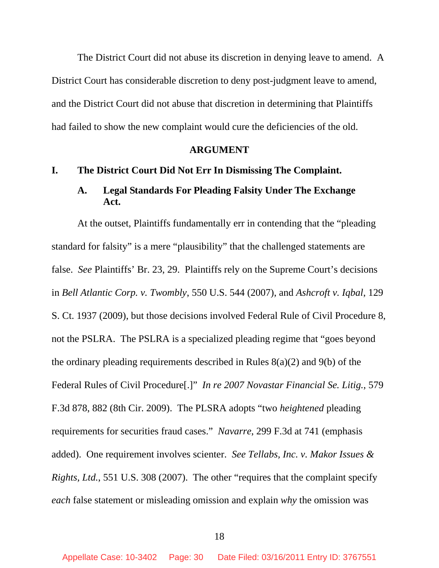The District Court did not abuse its discretion in denying leave to amend. A District Court has considerable discretion to deny post-judgment leave to amend, and the District Court did not abuse that discretion in determining that Plaintiffs had failed to show the new complaint would cure the deficiencies of the old.

#### **ARGUMENT**

## **I. The District Court Did Not Err In Dismissing The Complaint.**

## **A. Legal Standards For Pleading Falsity Under The Exchange Act.**

At the outset, Plaintiffs fundamentally err in contending that the "pleading standard for falsity" is a mere "plausibility" that the challenged statements are false. *See* Plaintiffs' Br. 23, 29. Plaintiffs rely on the Supreme Court's decisions in *Bell Atlantic Corp. v. Twombly*, 550 U.S. 544 (2007), and *Ashcroft v. Iqbal*, 129 S. Ct. 1937 (2009), but those decisions involved Federal Rule of Civil Procedure 8, not the PSLRA. The PSLRA is a specialized pleading regime that "goes beyond the ordinary pleading requirements described in Rules  $8(a)(2)$  and  $9(b)$  of the Federal Rules of Civil Procedure[.]" *In re 2007 Novastar Financial Se. Litig.*, 579 F.3d 878, 882 (8th Cir. 2009). The PLSRA adopts "two *heightened* pleading requirements for securities fraud cases." *Navarre*, 299 F.3d at 741 (emphasis added). One requirement involves scienter. *See Tellabs, Inc. v. Makor Issues & Rights, Ltd.*, 551 U.S. 308 (2007). The other "requires that the complaint specify *each* false statement or misleading omission and explain *why* the omission was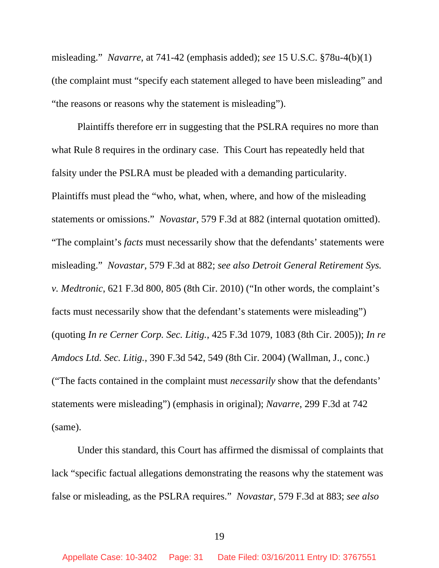misleading." *Navarre*, at 741-42 (emphasis added); *see* 15 U.S.C. §78u-4(b)(1) (the complaint must "specify each statement alleged to have been misleading" and "the reasons or reasons why the statement is misleading").

Plaintiffs therefore err in suggesting that the PSLRA requires no more than what Rule 8 requires in the ordinary case. This Court has repeatedly held that falsity under the PSLRA must be pleaded with a demanding particularity. Plaintiffs must plead the "who, what, when, where, and how of the misleading statements or omissions." *Novastar*, 579 F.3d at 882 (internal quotation omitted). "The complaint's *facts* must necessarily show that the defendants' statements were misleading." *Novastar*, 579 F.3d at 882; *see also Detroit General Retirement Sys. v. Medtronic*, 621 F.3d 800, 805 (8th Cir. 2010) ("In other words, the complaint's facts must necessarily show that the defendant's statements were misleading") (quoting *In re Cerner Corp. Sec. Litig.*, 425 F.3d 1079, 1083 (8th Cir. 2005)); *In re Amdocs Ltd. Sec. Litig.*, 390 F.3d 542, 549 (8th Cir. 2004) (Wallman, J., conc.) ("The facts contained in the complaint must *necessarily* show that the defendants' statements were misleading") (emphasis in original); *Navarre*, 299 F.3d at 742 (same).

Under this standard, this Court has affirmed the dismissal of complaints that lack "specific factual allegations demonstrating the reasons why the statement was false or misleading, as the PSLRA requires." *Novastar*, 579 F.3d at 883; *see also*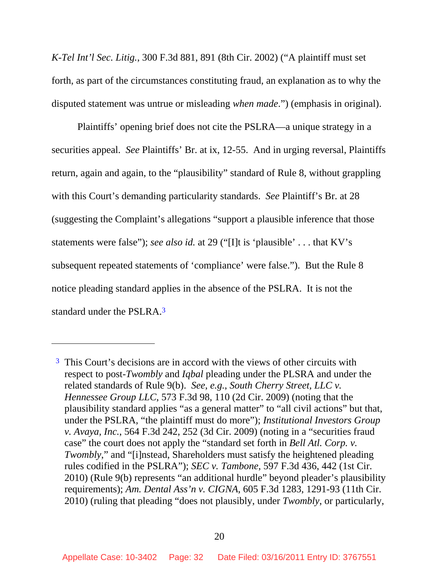*K-Tel Int'l Sec. Litig.*, 300 F.3d 881, 891 (8th Cir. 2002) ("A plaintiff must set forth, as part of the circumstances constituting fraud, an explanation as to why the disputed statement was untrue or misleading *when made*.") (emphasis in original).

Plaintiffs' opening brief does not cite the PSLRA—a unique strategy in a securities appeal. *See* Plaintiffs' Br. at ix, 12-55. And in urging reversal, Plaintiffs return, again and again, to the "plausibility" standard of Rule 8, without grappling with this Court's demanding particularity standards. *See* Plaintiff's Br. at 28 (suggesting the Complaint's allegations "support a plausible inference that those statements were false"); *see also id.* at 29 ("[I]t is 'plausible' . . . that KV's subsequent repeated statements of 'compliance' were false."). But the Rule 8 notice pleading standard applies in the absence of the PSLRA. It is not the standard under the PSLRA.3

<sup>&</sup>lt;sup>3</sup> This Court's decisions are in accord with the views of other circuits with respect to post*-Twombly* and *Iqbal* pleading under the PLSRA and under the related standards of Rule 9(b). *See*, *e.g.*, *South Cherry Street, LLC v. Hennessee Group LLC*, 573 F.3d 98, 110 (2d Cir. 2009) (noting that the plausibility standard applies "as a general matter" to "all civil actions" but that, under the PSLRA, "the plaintiff must do more"); *Institutional Investors Group v. Avaya, Inc.*, 564 F.3d 242, 252 (3d Cir. 2009) (noting in a "securities fraud case" the court does not apply the "standard set forth in *Bell Atl. Corp. v. Twombly*," and "[i]nstead, Shareholders must satisfy the heightened pleading rules codified in the PSLRA"); *SEC v. Tambone*, 597 F.3d 436, 442 (1st Cir. 2010) (Rule 9(b) represents "an additional hurdle" beyond pleader's plausibility requirements); *Am. Dental Ass'n v. CIGNA*, 605 F.3d 1283, 1291-93 (11th Cir. 2010) (ruling that pleading "does not plausibly, under *Twombly*, or particularly,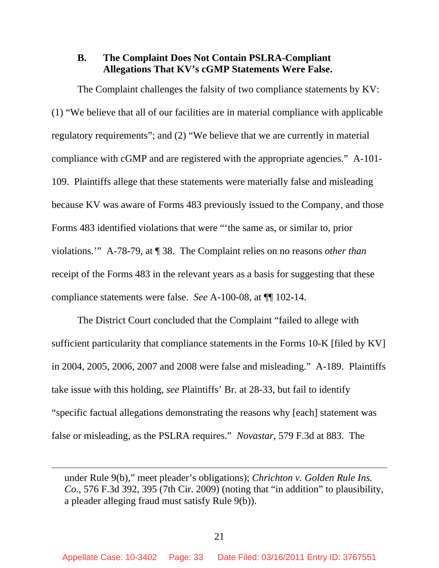## **B. The Complaint Does Not Contain PSLRA-Compliant Allegations That KV's cGMP Statements Were False.**

The Complaint challenges the falsity of two compliance statements by KV: (1) "We believe that all of our facilities are in material compliance with applicable regulatory requirements"; and (2) "We believe that we are currently in material compliance with cGMP and are registered with the appropriate agencies." A-101- 109. Plaintiffs allege that these statements were materially false and misleading because KV was aware of Forms 483 previously issued to the Company, and those Forms 483 identified violations that were "'the same as, or similar to, prior violations.'" A-78-79, at ¶ 38. The Complaint relies on no reasons *other than* receipt of the Forms 483 in the relevant years as a basis for suggesting that these compliance statements were false. *See* A-100-08, at ¶¶ 102-14.

The District Court concluded that the Complaint "failed to allege with sufficient particularity that compliance statements in the Forms 10-K [filed by KV] in 2004, 2005, 2006, 2007 and 2008 were false and misleading." A-189. Plaintiffs take issue with this holding, *see* Plaintiffs' Br. at 28-33, but fail to identify "specific factual allegations demonstrating the reasons why [each] statement was false or misleading, as the PSLRA requires." *Novastar*, 579 F.3d at 883. The

under Rule 9(b)," meet pleader's obligations); *Chrichton v. Golden Rule Ins. Co.*, 576 F.3d 392, 395 (7th Cir. 2009) (noting that "in addition" to plausibility, a pleader alleging fraud must satisfy Rule 9(b)).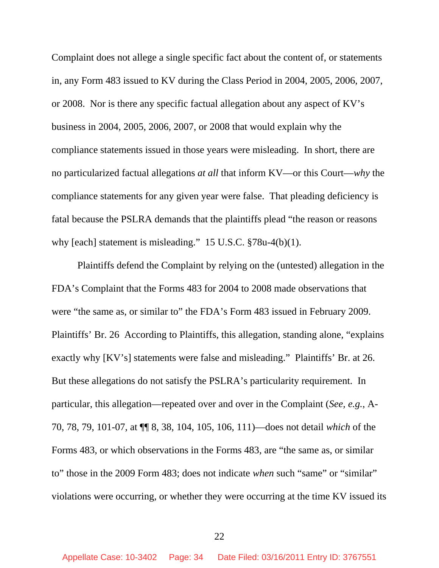Complaint does not allege a single specific fact about the content of, or statements in, any Form 483 issued to KV during the Class Period in 2004, 2005, 2006, 2007, or 2008. Nor is there any specific factual allegation about any aspect of KV's business in 2004, 2005, 2006, 2007, or 2008 that would explain why the compliance statements issued in those years were misleading. In short, there are no particularized factual allegations *at all* that inform KV—or this Court—*why* the compliance statements for any given year were false. That pleading deficiency is fatal because the PSLRA demands that the plaintiffs plead "the reason or reasons why [each] statement is misleading." 15 U.S.C. §78u-4(b)(1).

Plaintiffs defend the Complaint by relying on the (untested) allegation in the FDA's Complaint that the Forms 483 for 2004 to 2008 made observations that were "the same as, or similar to" the FDA's Form 483 issued in February 2009. Plaintiffs' Br. 26 According to Plaintiffs, this allegation, standing alone, "explains exactly why [KV's] statements were false and misleading." Plaintiffs' Br. at 26. But these allegations do not satisfy the PSLRA's particularity requirement. In particular, this allegation—repeated over and over in the Complaint (*See, e.g.*, A-70, 78, 79, 101-07, at ¶¶ 8, 38, 104, 105, 106, 111)—does not detail *which* of the Forms 483, or which observations in the Forms 483, are "the same as, or similar to" those in the 2009 Form 483; does not indicate *when* such "same" or "similar" violations were occurring, or whether they were occurring at the time KV issued its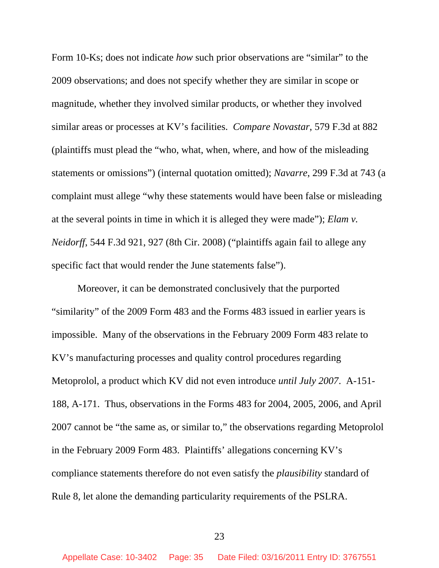Form 10-Ks; does not indicate *how* such prior observations are "similar" to the 2009 observations; and does not specify whether they are similar in scope or magnitude, whether they involved similar products, or whether they involved similar areas or processes at KV's facilities. *Compare Novastar*, 579 F.3d at 882 (plaintiffs must plead the "who, what, when, where, and how of the misleading statements or omissions") (internal quotation omitted); *Navarre*, 299 F.3d at 743 (a complaint must allege "why these statements would have been false or misleading at the several points in time in which it is alleged they were made"); *Elam v. Neidorff*, 544 F.3d 921, 927 (8th Cir. 2008) ("plaintiffs again fail to allege any specific fact that would render the June statements false").

Moreover, it can be demonstrated conclusively that the purported "similarity" of the 2009 Form 483 and the Forms 483 issued in earlier years is impossible. Many of the observations in the February 2009 Form 483 relate to KV's manufacturing processes and quality control procedures regarding Metoprolol, a product which KV did not even introduce *until July 2007*. A-151- 188, A-171. Thus, observations in the Forms 483 for 2004, 2005, 2006, and April 2007 cannot be "the same as, or similar to," the observations regarding Metoprolol in the February 2009 Form 483. Plaintiffs' allegations concerning KV's compliance statements therefore do not even satisfy the *plausibility* standard of Rule 8, let alone the demanding particularity requirements of the PSLRA.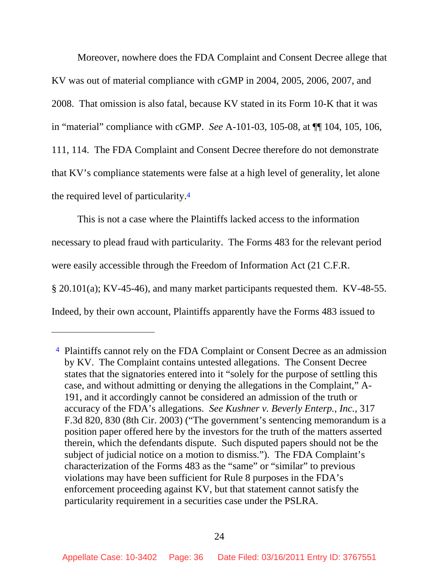Moreover, nowhere does the FDA Complaint and Consent Decree allege that KV was out of material compliance with cGMP in 2004, 2005, 2006, 2007, and 2008. That omission is also fatal, because KV stated in its Form 10-K that it was in "material" compliance with cGMP. *See* A-101-03, 105-08, at ¶¶ 104, 105, 106, 111, 114. The FDA Complaint and Consent Decree therefore do not demonstrate that KV's compliance statements were false at a high level of generality, let alone the required level of particularity.4

This is not a case where the Plaintiffs lacked access to the information necessary to plead fraud with particularity. The Forms 483 for the relevant period were easily accessible through the Freedom of Information Act (21 C.F.R. § 20.101(a); KV-45-46), and many market participants requested them. KV-48-55. Indeed, by their own account, Plaintiffs apparently have the Forms 483 issued to

<sup>4</sup> Plaintiffs cannot rely on the FDA Complaint or Consent Decree as an admission by KV. The Complaint contains untested allegations. The Consent Decree states that the signatories entered into it "solely for the purpose of settling this case, and without admitting or denying the allegations in the Complaint," A-191, and it accordingly cannot be considered an admission of the truth or accuracy of the FDA's allegations. *See Kushner v. Beverly Enterp., Inc.*, 317 F.3d 820, 830 (8th Cir. 2003) ("The government's sentencing memorandum is a position paper offered here by the investors for the truth of the matters asserted therein, which the defendants dispute. Such disputed papers should not be the subject of judicial notice on a motion to dismiss."). The FDA Complaint's characterization of the Forms 483 as the "same" or "similar" to previous violations may have been sufficient for Rule 8 purposes in the FDA's enforcement proceeding against KV, but that statement cannot satisfy the particularity requirement in a securities case under the PSLRA.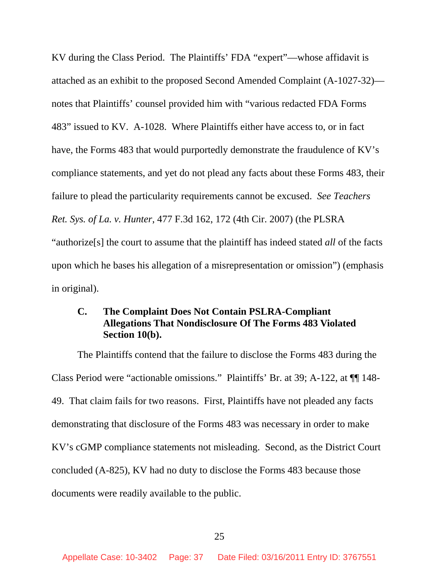KV during the Class Period. The Plaintiffs' FDA "expert"—whose affidavit is attached as an exhibit to the proposed Second Amended Complaint (A-1027-32) notes that Plaintiffs' counsel provided him with "various redacted FDA Forms 483" issued to KV. A-1028. Where Plaintiffs either have access to, or in fact have, the Forms 483 that would purportedly demonstrate the fraudulence of KV's compliance statements, and yet do not plead any facts about these Forms 483, their failure to plead the particularity requirements cannot be excused. *See Teachers Ret. Sys. of La. v. Hunter*, 477 F.3d 162, 172 (4th Cir. 2007) (the PLSRA "authorize[s] the court to assume that the plaintiff has indeed stated *all* of the facts upon which he bases his allegation of a misrepresentation or omission") (emphasis in original).

## **C. The Complaint Does Not Contain PSLRA-Compliant Allegations That Nondisclosure Of The Forms 483 Violated Section 10(b).**

The Plaintiffs contend that the failure to disclose the Forms 483 during the Class Period were "actionable omissions." Plaintiffs' Br. at 39; A-122, at ¶¶ 148- 49. That claim fails for two reasons. First, Plaintiffs have not pleaded any facts demonstrating that disclosure of the Forms 483 was necessary in order to make KV's cGMP compliance statements not misleading. Second, as the District Court concluded (A-825), KV had no duty to disclose the Forms 483 because those documents were readily available to the public.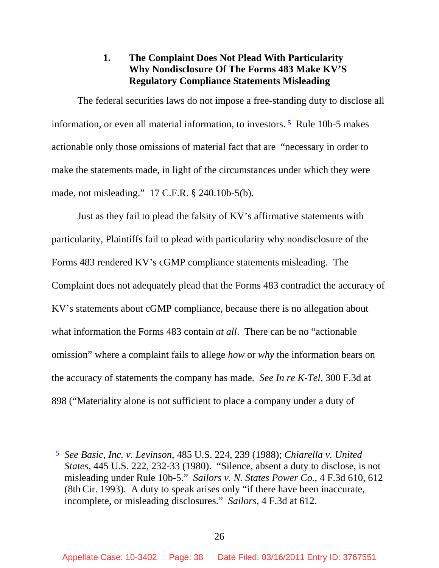## **1. The Complaint Does Not Plead With Particularity Why Nondisclosure Of The Forms 483 Make KV'S Regulatory Compliance Statements Misleading**

The federal securities laws do not impose a free-standing duty to disclose all information, or even all material information, to investors. 5 Rule 10b-5 makes actionable only those omissions of material fact that are "necessary in order to make the statements made, in light of the circumstances under which they were made, not misleading." 17 C.F.R. § 240.10b-5(b).

Just as they fail to plead the falsity of KV's affirmative statements with particularity, Plaintiffs fail to plead with particularity why nondisclosure of the Forms 483 rendered KV's cGMP compliance statements misleading. The Complaint does not adequately plead that the Forms 483 contradict the accuracy of KV's statements about cGMP compliance, because there is no allegation about what information the Forms 483 contain *at all*. There can be no "actionable omission" where a complaint fails to allege *how* or *why* the information bears on the accuracy of statements the company has made. *See In re K-Tel*, 300 F.3d at 898 ("Materiality alone is not sufficient to place a company under a duty of

<sup>5</sup> *See Basic, Inc. v. Levinson*, 485 U.S. 224, 239 (1988); *Chiarella v. United States*, 445 U.S. 222, 232-33 (1980). "Silence, absent a duty to disclose, is not misleading under Rule 10b-5." *Sailors v. N. States Power Co.*, 4 F.3d 610, 612 (8thCir. 1993). A duty to speak arises only "if there have been inaccurate, incomplete, or misleading disclosures." *Sailors*, 4 F.3d at 612.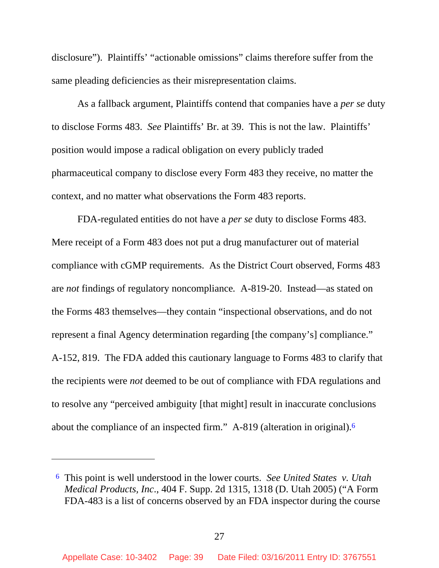disclosure"). Plaintiffs' "actionable omissions" claims therefore suffer from the same pleading deficiencies as their misrepresentation claims.

As a fallback argument, Plaintiffs contend that companies have a *per se* duty to disclose Forms 483. *See* Plaintiffs' Br. at 39. This is not the law. Plaintiffs' position would impose a radical obligation on every publicly traded pharmaceutical company to disclose every Form 483 they receive, no matter the context, and no matter what observations the Form 483 reports.

FDA-regulated entities do not have a *per se* duty to disclose Forms 483. Mere receipt of a Form 483 does not put a drug manufacturer out of material compliance with cGMP requirements. As the District Court observed, Forms 483 are *not* findings of regulatory noncompliance*.* A-819-20. Instead—as stated on the Forms 483 themselves—they contain "inspectional observations, and do not represent a final Agency determination regarding [the company's] compliance." A-152, 819. The FDA added this cautionary language to Forms 483 to clarify that the recipients were *not* deemed to be out of compliance with FDA regulations and to resolve any "perceived ambiguity [that might] result in inaccurate conclusions about the compliance of an inspected firm." A-819 (alteration in original).6

<sup>6</sup> This point is well understood in the lower courts. *See United States v. Utah Medical Products, Inc*., 404 F. Supp. 2d 1315, 1318 (D. Utah 2005) ("A Form FDA-483 is a list of concerns observed by an FDA inspector during the course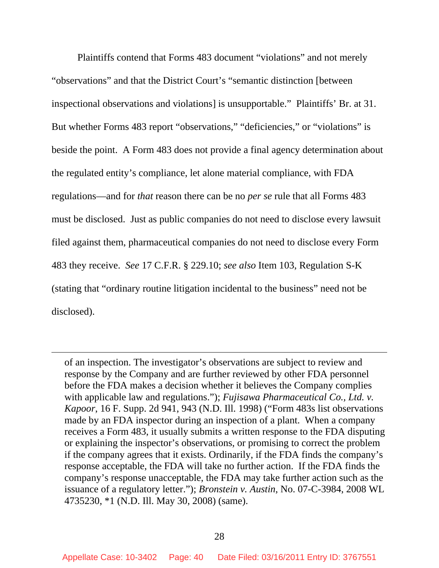Plaintiffs contend that Forms 483 document "violations" and not merely "observations" and that the District Court's "semantic distinction [between inspectional observations and violations] is unsupportable." Plaintiffs' Br. at 31. But whether Forms 483 report "observations," "deficiencies," or "violations" is beside the point. A Form 483 does not provide a final agency determination about the regulated entity's compliance, let alone material compliance, with FDA regulations—and for *that* reason there can be no *per se* rule that all Forms 483 must be disclosed. Just as public companies do not need to disclose every lawsuit filed against them, pharmaceutical companies do not need to disclose every Form 483 they receive. *See* 17 C.F.R. § 229.10; *see also* Item 103, Regulation S-K (stating that "ordinary routine litigation incidental to the business" need not be disclosed).

of an inspection. The investigator's observations are subject to review and response by the Company and are further reviewed by other FDA personnel before the FDA makes a decision whether it believes the Company complies with applicable law and regulations."); *Fujisawa Pharmaceutical Co., Ltd. v. Kapoor*, 16 F. Supp. 2d 941, 943 (N.D. Ill. 1998) ("Form 483s list observations made by an FDA inspector during an inspection of a plant. When a company receives a Form 483, it usually submits a written response to the FDA disputing or explaining the inspector's observations, or promising to correct the problem if the company agrees that it exists. Ordinarily, if the FDA finds the company's response acceptable, the FDA will take no further action. If the FDA finds the company's response unacceptable, the FDA may take further action such as the issuance of a regulatory letter."); *Bronstein v. Austin*, No. 07-C-3984, 2008 WL 4735230, \*1 (N.D. Ill. May 30, 2008) (same).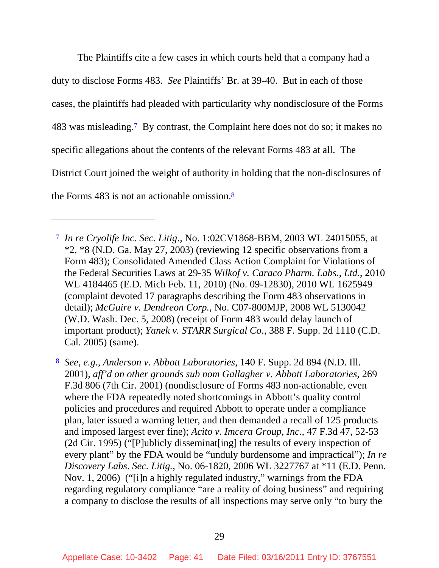The Plaintiffs cite a few cases in which courts held that a company had a duty to disclose Forms 483. *See* Plaintiffs' Br. at 39-40. But in each of those cases, the plaintiffs had pleaded with particularity why nondisclosure of the Forms 483 was misleading.7 By contrast, the Complaint here does not do so; it makes no specific allegations about the contents of the relevant Forms 483 at all. The District Court joined the weight of authority in holding that the non-disclosures of the Forms 483 is not an actionable omission.8

 $\overline{a}$ 

8 *See*, *e.g.*, *Anderson v. Abbott Laboratories*, 140 F. Supp. 2d 894 (N.D. Ill. 2001), *aff'd on other grounds sub nom Gallagher v. Abbott Laboratories*, 269 F.3d 806 (7th Cir. 2001) (nondisclosure of Forms 483 non-actionable, even where the FDA repeatedly noted shortcomings in Abbott's quality control policies and procedures and required Abbott to operate under a compliance plan, later issued a warning letter, and then demanded a recall of 125 products and imposed largest ever fine); *Acito v. Imcera Group, Inc.,* 47 F.3d 47, 52-53 (2d Cir. 1995) ("[P]ublicly disseminat[ing] the results of every inspection of every plant" by the FDA would be "unduly burdensome and impractical"); *In re Discovery Labs*. *Sec. Litig.*, No. 06-1820, 2006 WL 3227767 at \*11 (E.D. Penn. Nov. 1, 2006) ("[i]n a highly regulated industry," warnings from the FDA regarding regulatory compliance "are a reality of doing business" and requiring a company to disclose the results of all inspections may serve only "to bury the

<sup>7</sup> *In re Cryolife Inc. Sec. Litig*., No. 1:02CV1868-BBM, 2003 WL 24015055, at \*2, \*8 (N.D. Ga. May 27, 2003) (reviewing 12 specific observations from a Form 483); Consolidated Amended Class Action Complaint for Violations of the Federal Securities Laws at 29-35 *Wilkof v. Caraco Pharm. Labs., Ltd.*, 2010 WL 4184465 (E.D. Mich Feb. 11, 2010) (No. 09-12830), 2010 WL 1625949 (complaint devoted 17 paragraphs describing the Form 483 observations in detail); *McGuire v. Dendreon Corp.*, No. C07-800MJP, 2008 WL 5130042 (W.D. Wash. Dec. 5, 2008) (receipt of Form 483 would delay launch of important product); *Yanek v. STARR Surgical Co*., 388 F. Supp. 2d 1110 (C.D. Cal. 2005) (same).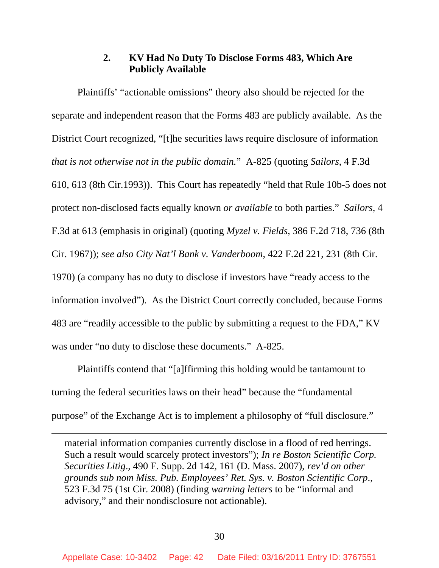## **2. KV Had No Duty To Disclose Forms 483, Which Are Publicly Available**

Plaintiffs' "actionable omissions" theory also should be rejected for the separate and independent reason that the Forms 483 are publicly available. As the District Court recognized, "[t]he securities laws require disclosure of information *that is not otherwise not in the public domain.*" A-825 (quoting *Sailors*, 4 F.3d 610, 613 (8th Cir.1993)). This Court has repeatedly "held that Rule 10b-5 does not protect non-disclosed facts equally known *or available* to both parties." *Sailors*, 4 F.3d at 613 (emphasis in original) (quoting *Myzel v. Fields*, 386 F.2d 718, 736 (8th Cir. 1967)); *see also City Nat'l Bank v. Vanderboom*, 422 F.2d 221, 231 (8th Cir. 1970) (a company has no duty to disclose if investors have "ready access to the information involved"). As the District Court correctly concluded, because Forms 483 are "readily accessible to the public by submitting a request to the FDA," KV was under "no duty to disclose these documents." A-825.

Plaintiffs contend that "[a]ffirming this holding would be tantamount to turning the federal securities laws on their head" because the "fundamental purpose" of the Exchange Act is to implement a philosophy of "full disclosure."

 $\overline{a}$ 

material information companies currently disclose in a flood of red herrings. Such a result would scarcely protect investors"); *In re Boston Scientific Corp. Securities Litig*., 490 F. Supp. 2d 142, 161 (D. Mass. 2007), *rev'd on other grounds sub nom Miss. Pub. Employees' Ret. Sys. v. Boston Scientific Corp*., 523 F.3d 75 (1st Cir. 2008) (finding *warning letters* to be "informal and advisory," and their nondisclosure not actionable).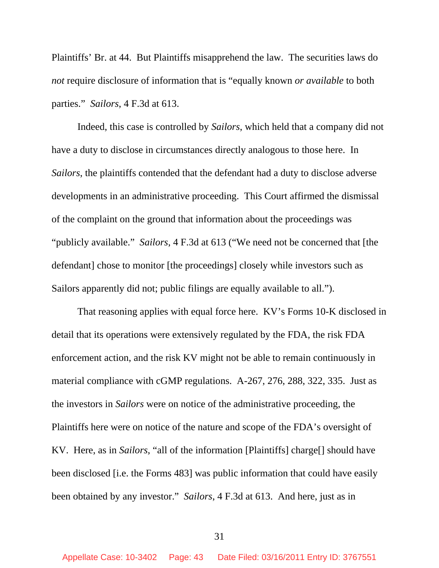Plaintiffs' Br. at 44. But Plaintiffs misapprehend the law. The securities laws do *not* require disclosure of information that is "equally known *or available* to both parties." *Sailors*, 4 F.3d at 613.

Indeed, this case is controlled by *Sailors*, which held that a company did not have a duty to disclose in circumstances directly analogous to those here. In *Sailors*, the plaintiffs contended that the defendant had a duty to disclose adverse developments in an administrative proceeding. This Court affirmed the dismissal of the complaint on the ground that information about the proceedings was "publicly available." *Sailors*, 4 F.3d at 613 ("We need not be concerned that [the defendant] chose to monitor [the proceedings] closely while investors such as Sailors apparently did not; public filings are equally available to all.").

That reasoning applies with equal force here. KV's Forms 10-K disclosed in detail that its operations were extensively regulated by the FDA, the risk FDA enforcement action, and the risk KV might not be able to remain continuously in material compliance with cGMP regulations. A-267, 276, 288, 322, 335. Just as the investors in *Sailors* were on notice of the administrative proceeding, the Plaintiffs here were on notice of the nature and scope of the FDA's oversight of KV. Here, as in *Sailors*, "all of the information [Plaintiffs] charge[] should have been disclosed [i.e. the Forms 483] was public information that could have easily been obtained by any investor." *Sailors*, 4 F.3d at 613. And here, just as in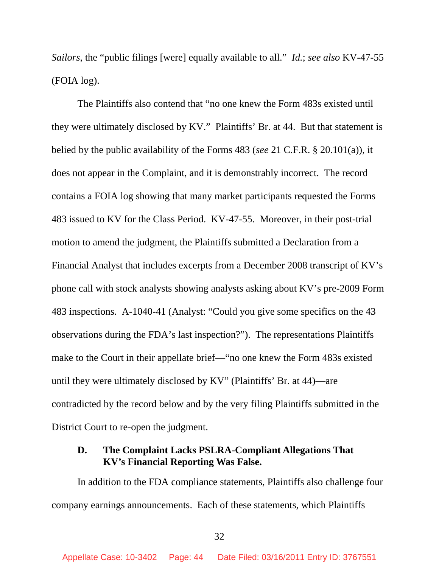*Sailors*, the "public filings [were] equally available to all." *Id.*; *see also* KV-47-55 (FOIA log).

The Plaintiffs also contend that "no one knew the Form 483s existed until they were ultimately disclosed by KV." Plaintiffs' Br. at 44. But that statement is belied by the public availability of the Forms 483 (*see* 21 C.F.R. § 20.101(a)), it does not appear in the Complaint, and it is demonstrably incorrect. The record contains a FOIA log showing that many market participants requested the Forms 483 issued to KV for the Class Period. KV-47-55. Moreover, in their post-trial motion to amend the judgment, the Plaintiffs submitted a Declaration from a Financial Analyst that includes excerpts from a December 2008 transcript of KV's phone call with stock analysts showing analysts asking about KV's pre-2009 Form 483 inspections. A-1040-41 (Analyst: "Could you give some specifics on the 43 observations during the FDA's last inspection?"). The representations Plaintiffs make to the Court in their appellate brief—"no one knew the Form 483s existed until they were ultimately disclosed by KV" (Plaintiffs' Br. at 44)—are contradicted by the record below and by the very filing Plaintiffs submitted in the District Court to re-open the judgment.

## **D. The Complaint Lacks PSLRA-Compliant Allegations That KV's Financial Reporting Was False.**

In addition to the FDA compliance statements, Plaintiffs also challenge four company earnings announcements. Each of these statements, which Plaintiffs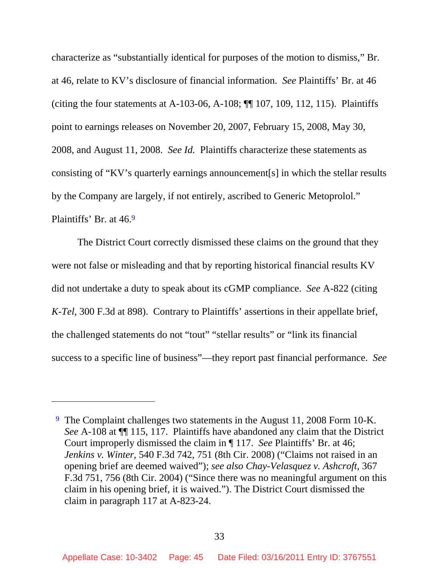characterize as "substantially identical for purposes of the motion to dismiss," Br. at 46, relate to KV's disclosure of financial information. *See* Plaintiffs' Br. at 46 (citing the four statements at A-103-06, A-108; ¶¶ 107, 109, 112, 115). Plaintiffs point to earnings releases on November 20, 2007, February 15, 2008, May 30, 2008, and August 11, 2008. *See Id.* Plaintiffs characterize these statements as consisting of "KV's quarterly earnings announcement[s] in which the stellar results by the Company are largely, if not entirely, ascribed to Generic Metoprolol." Plaintiffs' Br. at 46.9

The District Court correctly dismissed these claims on the ground that they were not false or misleading and that by reporting historical financial results KV did not undertake a duty to speak about its cGMP compliance. *See* A-822 (citing *K-Tel*, 300 F.3d at 898). Contrary to Plaintiffs' assertions in their appellate brief, the challenged statements do not "tout" "stellar results" or "link its financial success to a specific line of business"—they report past financial performance. *See* 

<sup>&</sup>lt;sup>9</sup> The Complaint challenges two statements in the August 11, 2008 Form 10-K. *See* A-108 at ¶¶ 115, 117. Plaintiffs have abandoned any claim that the District Court improperly dismissed the claim in ¶ 117. *See* Plaintiffs' Br. at 46; *Jenkins v. Winter*, 540 F.3d 742, 751 (8th Cir. 2008) ("Claims not raised in an opening brief are deemed waived"); *see also Chay-Velasquez v. Ashcroft*, 367 F.3d 751, 756 (8th Cir. 2004) ("Since there was no meaningful argument on this claim in his opening brief, it is waived."). The District Court dismissed the claim in paragraph 117 at A-823-24.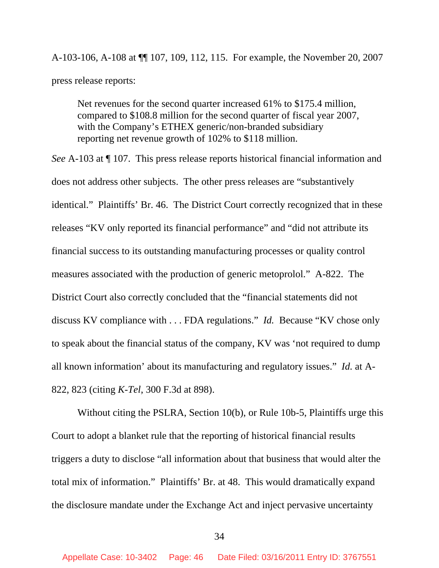A-103-106, A-108 at ¶¶ 107, 109, 112, 115. For example, the November 20, 2007 press release reports:

Net revenues for the second quarter increased 61% to \$175.4 million, compared to \$108.8 million for the second quarter of fiscal year 2007, with the Company's ETHEX generic/non-branded subsidiary reporting net revenue growth of 102% to \$118 million.

*See* A-103 at ¶ 107. This press release reports historical financial information and does not address other subjects. The other press releases are "substantively identical." Plaintiffs' Br. 46. The District Court correctly recognized that in these releases "KV only reported its financial performance" and "did not attribute its financial success to its outstanding manufacturing processes or quality control measures associated with the production of generic metoprolol." A-822. The District Court also correctly concluded that the "financial statements did not discuss KV compliance with . . . FDA regulations." *Id.* Because "KV chose only to speak about the financial status of the company, KV was 'not required to dump all known information' about its manufacturing and regulatory issues." *Id.* at A-822, 823 (citing *K-Tel*, 300 F.3d at 898).

 Without citing the PSLRA, Section 10(b), or Rule 10b-5, Plaintiffs urge this Court to adopt a blanket rule that the reporting of historical financial results triggers a duty to disclose "all information about that business that would alter the total mix of information." Plaintiffs' Br. at 48. This would dramatically expand the disclosure mandate under the Exchange Act and inject pervasive uncertainty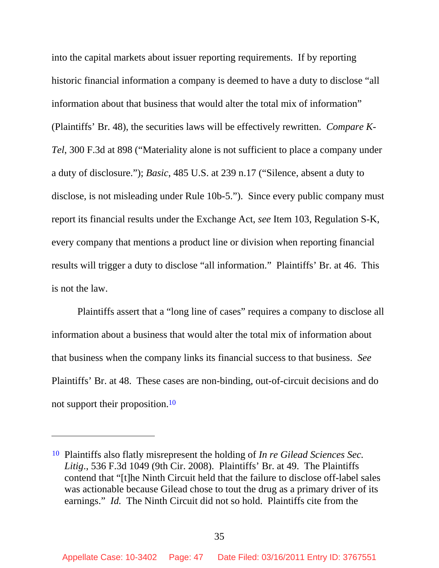into the capital markets about issuer reporting requirements. If by reporting historic financial information a company is deemed to have a duty to disclose "all information about that business that would alter the total mix of information" (Plaintiffs' Br. 48), the securities laws will be effectively rewritten. *Compare K-Tel*, 300 F.3d at 898 ("Materiality alone is not sufficient to place a company under a duty of disclosure."); *Basic*, 485 U.S. at 239 n.17 ("Silence, absent a duty to disclose, is not misleading under Rule 10b-5."). Since every public company must report its financial results under the Exchange Act, *see* Item 103, Regulation S-K, every company that mentions a product line or division when reporting financial results will trigger a duty to disclose "all information." Plaintiffs' Br. at 46. This is not the law.

 Plaintiffs assert that a "long line of cases" requires a company to disclose all information about a business that would alter the total mix of information about that business when the company links its financial success to that business. *See*  Plaintiffs' Br. at 48. These cases are non-binding, out-of-circuit decisions and do not support their proposition.10

<sup>10</sup> Plaintiffs also flatly misrepresent the holding of *In re Gilead Sciences Sec. Litig*., 536 F.3d 1049 (9th Cir. 2008). Plaintiffs' Br. at 49. The Plaintiffs contend that "[t]he Ninth Circuit held that the failure to disclose off-label sales was actionable because Gilead chose to tout the drug as a primary driver of its earnings." *Id.* The Ninth Circuit did not so hold. Plaintiffs cite from the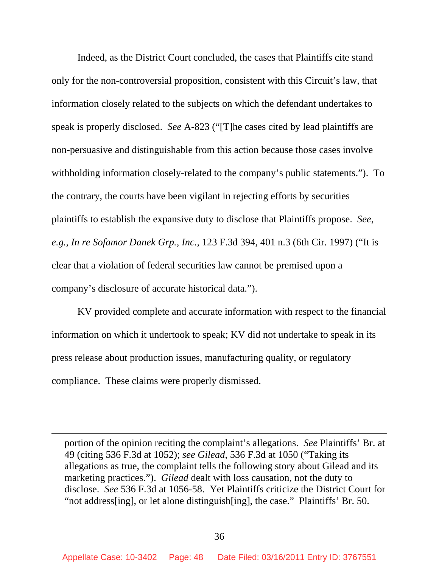Indeed, as the District Court concluded, the cases that Plaintiffs cite stand only for the non-controversial proposition, consistent with this Circuit's law, that information closely related to the subjects on which the defendant undertakes to speak is properly disclosed. *See* A-823 ("[T]he cases cited by lead plaintiffs are non-persuasive and distinguishable from this action because those cases involve withholding information closely-related to the company's public statements."). To the contrary, the courts have been vigilant in rejecting efforts by securities plaintiffs to establish the expansive duty to disclose that Plaintiffs propose. *See*, *e.g.*, *In re Sofamor Danek Grp., Inc.*, 123 F.3d 394, 401 n.3 (6th Cir. 1997) ("It is clear that a violation of federal securities law cannot be premised upon a company's disclosure of accurate historical data.").

 KV provided complete and accurate information with respect to the financial information on which it undertook to speak; KV did not undertake to speak in its press release about production issues, manufacturing quality, or regulatory compliance. These claims were properly dismissed.

portion of the opinion reciting the complaint's allegations. *See* Plaintiffs' Br. at 49 (citing 536 F.3d at 1052); *see Gilead*, 536 F.3d at 1050 ("Taking its allegations as true, the complaint tells the following story about Gilead and its marketing practices."). *Gilead* dealt with loss causation, not the duty to disclose. *See* 536 F.3d at 1056-58. Yet Plaintiffs criticize the District Court for "not address[ing], or let alone distinguish[ing], the case." Plaintiffs' Br. 50.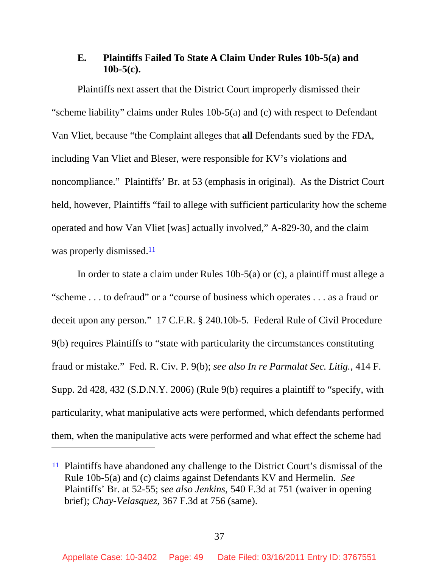## **E. Plaintiffs Failed To State A Claim Under Rules 10b-5(a) and 10b-5(c).**

Plaintiffs next assert that the District Court improperly dismissed their "scheme liability" claims under Rules 10b-5(a) and (c) with respect to Defendant Van Vliet, because "the Complaint alleges that **all** Defendants sued by the FDA, including Van Vliet and Bleser, were responsible for KV's violations and noncompliance." Plaintiffs' Br. at 53 (emphasis in original). As the District Court held, however, Plaintiffs "fail to allege with sufficient particularity how the scheme operated and how Van Vliet [was] actually involved," A-829-30, and the claim was properly dismissed.11

In order to state a claim under Rules 10b-5(a) or (c), a plaintiff must allege a "scheme . . . to defraud" or a "course of business which operates . . . as a fraud or deceit upon any person." 17 C.F.R. § 240.10b-5. Federal Rule of Civil Procedure 9(b) requires Plaintiffs to "state with particularity the circumstances constituting fraud or mistake." Fed. R. Civ. P. 9(b); *see also In re Parmalat Sec. Litig.*, 414 F. Supp. 2d 428, 432 (S.D.N.Y. 2006) (Rule 9(b) requires a plaintiff to "specify, with particularity, what manipulative acts were performed, which defendants performed them, when the manipulative acts were performed and what effect the scheme had

<sup>11</sup> Plaintiffs have abandoned any challenge to the District Court's dismissal of the Rule 10b-5(a) and (c) claims against Defendants KV and Hermelin. *See*  Plaintiffs' Br. at 52-55; *see also Jenkins*, 540 F.3d at 751 (waiver in opening brief); *Chay-Velasquez*, 367 F.3d at 756 (same).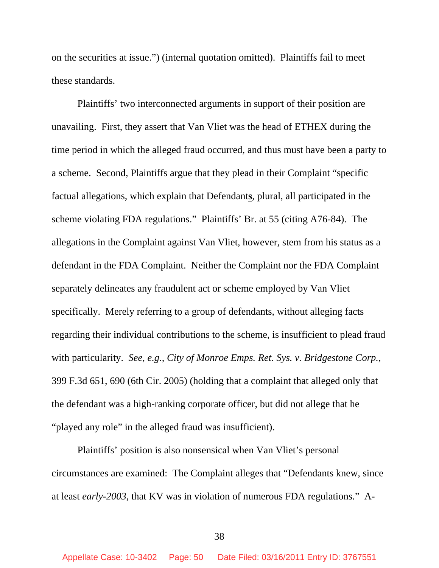on the securities at issue.") (internal quotation omitted). Plaintiffs fail to meet these standards.

Plaintiffs' two interconnected arguments in support of their position are unavailing. First, they assert that Van Vliet was the head of ETHEX during the time period in which the alleged fraud occurred, and thus must have been a party to a scheme. Second, Plaintiffs argue that they plead in their Complaint "specific factual allegations, which explain that Defendant**s**, plural, all participated in the scheme violating FDA regulations." Plaintiffs' Br. at 55 (citing A76-84). The allegations in the Complaint against Van Vliet, however, stem from his status as a defendant in the FDA Complaint. Neither the Complaint nor the FDA Complaint separately delineates any fraudulent act or scheme employed by Van Vliet specifically. Merely referring to a group of defendants, without alleging facts regarding their individual contributions to the scheme, is insufficient to plead fraud with particularity. *See, e.g., City of Monroe Emps. Ret. Sys. v. Bridgestone Corp.*, 399 F.3d 651, 690 (6th Cir. 2005) (holding that a complaint that alleged only that the defendant was a high-ranking corporate officer, but did not allege that he "played any role" in the alleged fraud was insufficient).

Plaintiffs' position is also nonsensical when Van Vliet's personal circumstances are examined: The Complaint alleges that "Defendants knew, since at least *early-2003*, that KV was in violation of numerous FDA regulations." A-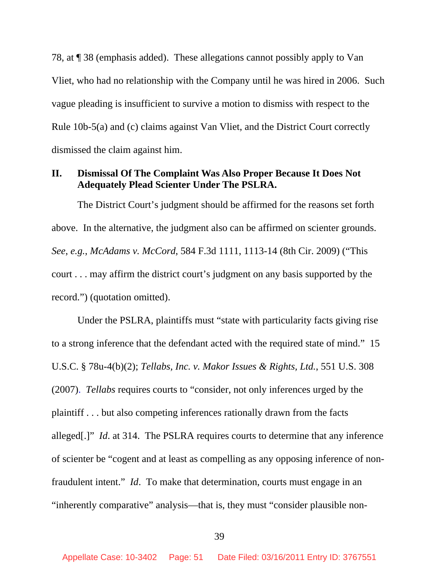78, at ¶ 38 (emphasis added). These allegations cannot possibly apply to Van Vliet, who had no relationship with the Company until he was hired in 2006. Such vague pleading is insufficient to survive a motion to dismiss with respect to the Rule 10b-5(a) and (c) claims against Van Vliet, and the District Court correctly dismissed the claim against him.

## **II. Dismissal Of The Complaint Was Also Proper Because It Does Not Adequately Plead Scienter Under The PSLRA.**

The District Court's judgment should be affirmed for the reasons set forth above. In the alternative, the judgment also can be affirmed on scienter grounds. *See*, *e.g.*, *McAdams v. McCord*, 584 F.3d 1111, 1113-14 (8th Cir. 2009) ("This court . . . may affirm the district court's judgment on any basis supported by the record.") (quotation omitted).

Under the PSLRA, plaintiffs must "state with particularity facts giving rise to a strong inference that the defendant acted with the required state of mind." 15 U.S.C. § 78u-4(b)(2); *Tellabs, Inc. v. Makor Issues & Rights, Ltd.*, 551 U.S. 308 (2007). *Tellabs* requires courts to "consider, not only inferences urged by the plaintiff . . . but also competing inferences rationally drawn from the facts alleged[.]" *Id*. at 314. The PSLRA requires courts to determine that any inference of scienter be "cogent and at least as compelling as any opposing inference of nonfraudulent intent." *Id*. To make that determination, courts must engage in an "inherently comparative" analysis—that is, they must "consider plausible non-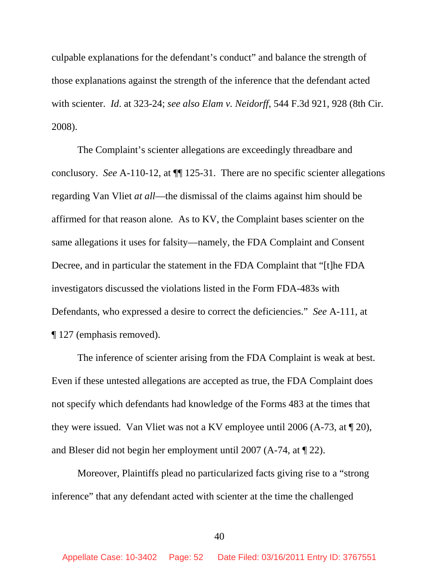culpable explanations for the defendant's conduct" and balance the strength of those explanations against the strength of the inference that the defendant acted with scienter. *Id*. at 323-24; *see also Elam v. Neidorff*, 544 F.3d 921, 928 (8th Cir. 2008).

The Complaint's scienter allegations are exceedingly threadbare and conclusory. *See* A-110-12, at ¶¶ 125-31. There are no specific scienter allegations regarding Van Vliet *at all*—the dismissal of the claims against him should be affirmed for that reason alone*.* As to KV, the Complaint bases scienter on the same allegations it uses for falsity—namely, the FDA Complaint and Consent Decree, and in particular the statement in the FDA Complaint that "[t]he FDA investigators discussed the violations listed in the Form FDA-483s with Defendants, who expressed a desire to correct the deficiencies." *See* A-111, at ¶ 127 (emphasis removed).

The inference of scienter arising from the FDA Complaint is weak at best. Even if these untested allegations are accepted as true, the FDA Complaint does not specify which defendants had knowledge of the Forms 483 at the times that they were issued. Van Vliet was not a KV employee until 2006 (A-73, at ¶ 20), and Bleser did not begin her employment until 2007 (A-74, at ¶ 22).

Moreover, Plaintiffs plead no particularized facts giving rise to a "strong inference" that any defendant acted with scienter at the time the challenged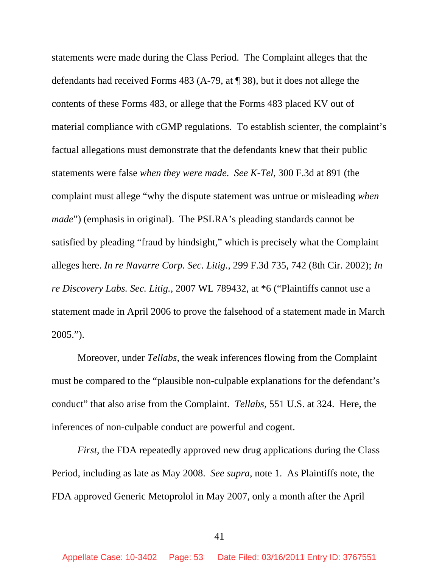statements were made during the Class Period. The Complaint alleges that the defendants had received Forms 483 (A-79, at ¶ 38), but it does not allege the contents of these Forms 483, or allege that the Forms 483 placed KV out of material compliance with cGMP regulations. To establish scienter, the complaint's factual allegations must demonstrate that the defendants knew that their public statements were false *when they were made*. *See K-Tel*, 300 F.3d at 891 (the complaint must allege "why the dispute statement was untrue or misleading *when made*") (emphasis in original).The PSLRA's pleading standards cannot be satisfied by pleading "fraud by hindsight," which is precisely what the Complaint alleges here. *In re Navarre Corp. Sec. Litig.*, 299 F.3d 735, 742 (8th Cir. 2002); *In re Discovery Labs. Sec. Litig.*, 2007 WL 789432, at \*6 ("Plaintiffs cannot use a statement made in April 2006 to prove the falsehood of a statement made in March 2005.").

Moreover, under *Tellabs*, the weak inferences flowing from the Complaint must be compared to the "plausible non-culpable explanations for the defendant's conduct" that also arise from the Complaint. *Tellabs*, 551 U.S. at 324. Here, the inferences of non-culpable conduct are powerful and cogent.

*First*, the FDA repeatedly approved new drug applications during the Class Period, including as late as May 2008. *See supra*, note 1. As Plaintiffs note, the FDA approved Generic Metoprolol in May 2007, only a month after the April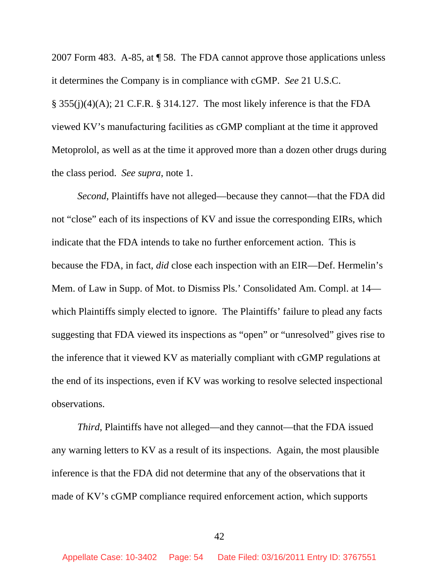2007 Form 483. A-85, at ¶ 58. The FDA cannot approve those applications unless it determines the Company is in compliance with cGMP. *See* 21 U.S.C. § 355(j)(4)(A); 21 C.F.R. § 314.127. The most likely inference is that the FDA viewed KV's manufacturing facilities as cGMP compliant at the time it approved Metoprolol, as well as at the time it approved more than a dozen other drugs during the class period. *See supra*, note 1.

*Second*, Plaintiffs have not alleged—because they cannot—that the FDA did not "close" each of its inspections of KV and issue the corresponding EIRs, which indicate that the FDA intends to take no further enforcement action. This is because the FDA, in fact, *did* close each inspection with an EIR—Def. Hermelin's Mem. of Law in Supp. of Mot. to Dismiss Pls.' Consolidated Am. Compl. at 14 which Plaintiffs simply elected to ignore. The Plaintiffs' failure to plead any facts suggesting that FDA viewed its inspections as "open" or "unresolved" gives rise to the inference that it viewed KV as materially compliant with cGMP regulations at the end of its inspections, even if KV was working to resolve selected inspectional observations.

*Third*, Plaintiffs have not alleged—and they cannot—that the FDA issued any warning letters to KV as a result of its inspections. Again, the most plausible inference is that the FDA did not determine that any of the observations that it made of KV's cGMP compliance required enforcement action, which supports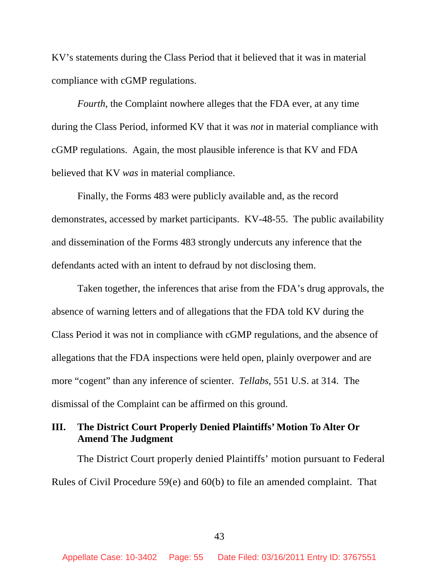KV's statements during the Class Period that it believed that it was in material compliance with cGMP regulations.

*Fourth*, the Complaint nowhere alleges that the FDA ever, at any time during the Class Period, informed KV that it was *not* in material compliance with cGMP regulations. Again, the most plausible inference is that KV and FDA believed that KV *was* in material compliance.

Finally, the Forms 483 were publicly available and, as the record demonstrates, accessed by market participants. KV-48-55. The public availability and dissemination of the Forms 483 strongly undercuts any inference that the defendants acted with an intent to defraud by not disclosing them.

Taken together, the inferences that arise from the FDA's drug approvals, the absence of warning letters and of allegations that the FDA told KV during the Class Period it was not in compliance with cGMP regulations, and the absence of allegations that the FDA inspections were held open, plainly overpower and are more "cogent" than any inference of scienter. *Tellabs*, 551 U.S. at 314. The dismissal of the Complaint can be affirmed on this ground.

## **III. The District Court Properly Denied Plaintiffs' Motion To Alter Or Amend The Judgment**

The District Court properly denied Plaintiffs' motion pursuant to Federal Rules of Civil Procedure 59(e) and 60(b) to file an amended complaint. That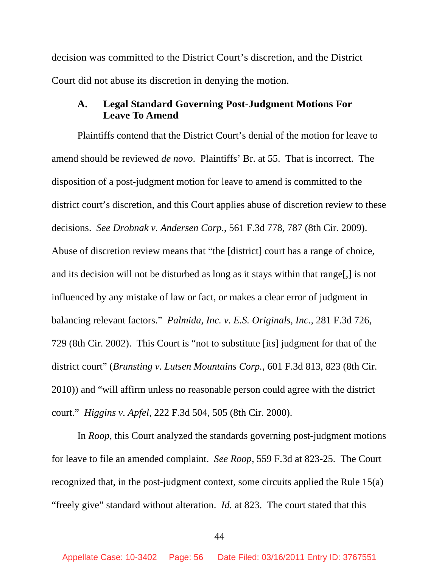decision was committed to the District Court's discretion, and the District Court did not abuse its discretion in denying the motion.

## **A. Legal Standard Governing Post-Judgment Motions For Leave To Amend**

Plaintiffs contend that the District Court's denial of the motion for leave to amend should be reviewed *de novo*. Plaintiffs' Br. at 55. That is incorrect. The disposition of a post-judgment motion for leave to amend is committed to the district court's discretion, and this Court applies abuse of discretion review to these decisions. *See Drobnak v. Andersen Corp.*, 561 F.3d 778, 787 (8th Cir. 2009). Abuse of discretion review means that "the [district] court has a range of choice, and its decision will not be disturbed as long as it stays within that range[,] is not influenced by any mistake of law or fact, or makes a clear error of judgment in balancing relevant factors." *Palmida, Inc. v. E.S. Originals, Inc.*, 281 F.3d 726, 729 (8th Cir. 2002). This Court is "not to substitute [its] judgment for that of the district court" (*Brunsting v. Lutsen Mountains Corp.*, 601 F.3d 813, 823 (8th Cir. 2010)) and "will affirm unless no reasonable person could agree with the district court." *Higgins v. Apfel*, 222 F.3d 504, 505 (8th Cir. 2000).

In *Roop*, this Court analyzed the standards governing post-judgment motions for leave to file an amended complaint. *See Roop*, 559 F.3d at 823-25. The Court recognized that, in the post-judgment context, some circuits applied the Rule 15(a) "freely give" standard without alteration. *Id.* at 823. The court stated that this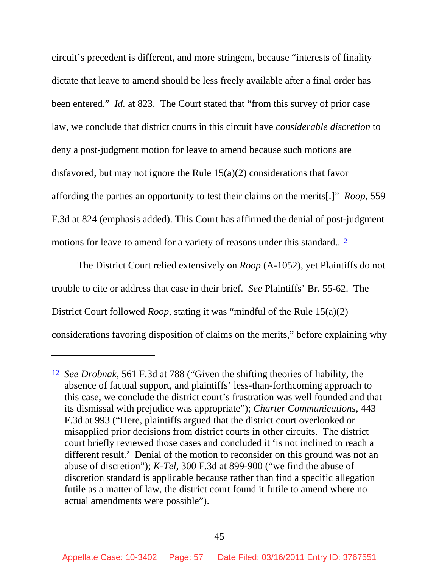circuit's precedent is different, and more stringent, because "interests of finality dictate that leave to amend should be less freely available after a final order has been entered." *Id.* at 823. The Court stated that "from this survey of prior case law, we conclude that district courts in this circuit have *considerable discretion* to deny a post-judgment motion for leave to amend because such motions are disfavored, but may not ignore the Rule 15(a)(2) considerations that favor affording the parties an opportunity to test their claims on the merits[.]" *Roop*, 559 F.3d at 824 (emphasis added). This Court has affirmed the denial of post-judgment motions for leave to amend for a variety of reasons under this standard..12

The District Court relied extensively on *Roop* (A-1052), yet Plaintiffs do not trouble to cite or address that case in their brief. *See* Plaintiffs' Br. 55-62. The District Court followed *Roop*, stating it was "mindful of the Rule 15(a)(2) considerations favoring disposition of claims on the merits," before explaining why

<sup>12</sup> *See Drobnak*, 561 F.3d at 788 ("Given the shifting theories of liability, the absence of factual support, and plaintiffs' less-than-forthcoming approach to this case, we conclude the district court's frustration was well founded and that its dismissal with prejudice was appropriate"); *Charter Communications*, 443 F.3d at 993 ("Here, plaintiffs argued that the district court overlooked or misapplied prior decisions from district courts in other circuits. The district court briefly reviewed those cases and concluded it 'is not inclined to reach a different result.' Denial of the motion to reconsider on this ground was not an abuse of discretion"); *K-Tel*, 300 F.3d at 899-900 ("we find the abuse of discretion standard is applicable because rather than find a specific allegation futile as a matter of law, the district court found it futile to amend where no actual amendments were possible").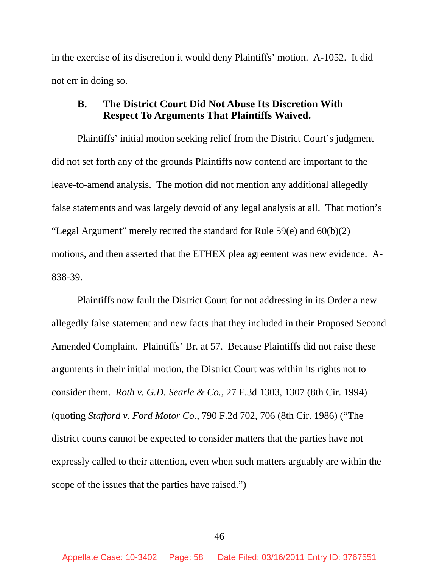in the exercise of its discretion it would deny Plaintiffs' motion. A-1052. It did not err in doing so.

## **B. The District Court Did Not Abuse Its Discretion With Respect To Arguments That Plaintiffs Waived.**

 Plaintiffs' initial motion seeking relief from the District Court's judgment did not set forth any of the grounds Plaintiffs now contend are important to the leave-to-amend analysis. The motion did not mention any additional allegedly false statements and was largely devoid of any legal analysis at all. That motion's "Legal Argument" merely recited the standard for Rule  $59(e)$  and  $60(b)(2)$ motions, and then asserted that the ETHEX plea agreement was new evidence. A-838-39.

 Plaintiffs now fault the District Court for not addressing in its Order a new allegedly false statement and new facts that they included in their Proposed Second Amended Complaint. Plaintiffs' Br. at 57. Because Plaintiffs did not raise these arguments in their initial motion, the District Court was within its rights not to consider them. *Roth v. G.D. Searle & Co.*, 27 F.3d 1303, 1307 (8th Cir. 1994) (quoting *Stafford v. Ford Motor Co.*, 790 F.2d 702, 706 (8th Cir. 1986) ("The district courts cannot be expected to consider matters that the parties have not expressly called to their attention, even when such matters arguably are within the scope of the issues that the parties have raised.")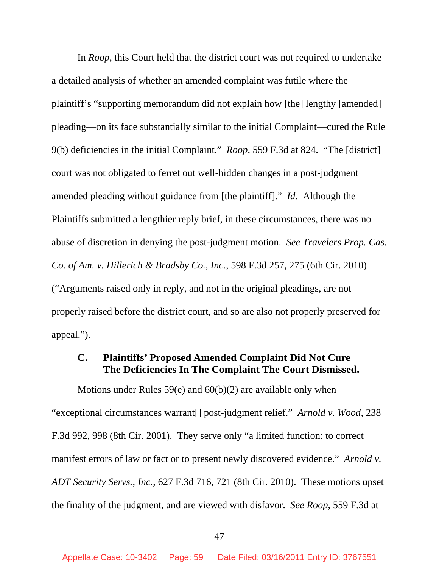In *Roop*, this Court held that the district court was not required to undertake a detailed analysis of whether an amended complaint was futile where the plaintiff's "supporting memorandum did not explain how [the] lengthy [amended] pleading—on its face substantially similar to the initial Complaint—cured the Rule 9(b) deficiencies in the initial Complaint." *Roop*, 559 F.3d at 824. "The [district] court was not obligated to ferret out well-hidden changes in a post-judgment amended pleading without guidance from [the plaintiff]." *Id.* Although the Plaintiffs submitted a lengthier reply brief, in these circumstances, there was no abuse of discretion in denying the post-judgment motion. *See Travelers Prop. Cas. Co. of Am. v. Hillerich & Bradsby Co., Inc.*, 598 F.3d 257, 275 (6th Cir. 2010) ("Arguments raised only in reply, and not in the original pleadings, are not properly raised before the district court, and so are also not properly preserved for appeal.").

## **C. Plaintiffs' Proposed Amended Complaint Did Not Cure The Deficiencies In The Complaint The Court Dismissed.**

Motions under Rules 59(e) and 60(b)(2) are available only when "exceptional circumstances warrant[] post-judgment relief." *Arnold v. Wood*, 238 F.3d 992, 998 (8th Cir. 2001). They serve only "a limited function: to correct manifest errors of law or fact or to present newly discovered evidence." *Arnold v. ADT Security Servs., Inc.*, 627 F.3d 716, 721 (8th Cir. 2010). These motions upset the finality of the judgment, and are viewed with disfavor. *See Roop*, 559 F.3d at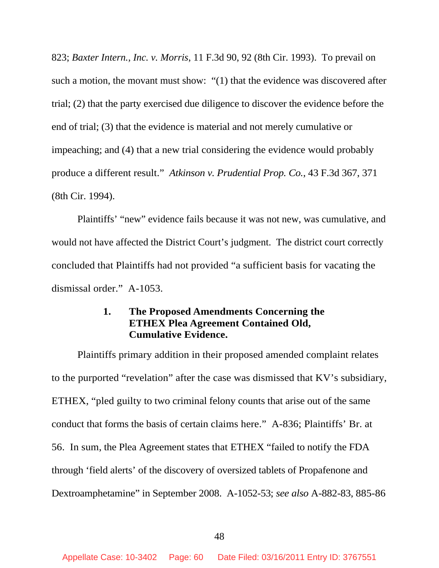823; *Baxter Intern., Inc. v. Morris*, 11 F.3d 90, 92 (8th Cir. 1993). To prevail on such a motion, the movant must show: "(1) that the evidence was discovered after trial; (2) that the party exercised due diligence to discover the evidence before the end of trial; (3) that the evidence is material and not merely cumulative or impeaching; and (4) that a new trial considering the evidence would probably produce a different result." *Atkinson v. Prudential Prop. Co.*, 43 F.3d 367, 371 (8th Cir. 1994).

Plaintiffs' "new" evidence fails because it was not new, was cumulative, and would not have affected the District Court's judgment. The district court correctly concluded that Plaintiffs had not provided "a sufficient basis for vacating the dismissal order." A-1053.

## **1. The Proposed Amendments Concerning the ETHEX Plea Agreement Contained Old, Cumulative Evidence.**

Plaintiffs primary addition in their proposed amended complaint relates to the purported "revelation" after the case was dismissed that KV's subsidiary, ETHEX, "pled guilty to two criminal felony counts that arise out of the same conduct that forms the basis of certain claims here." A-836; Plaintiffs' Br. at 56. In sum, the Plea Agreement states that ETHEX "failed to notify the FDA through 'field alerts' of the discovery of oversized tablets of Propafenone and Dextroamphetamine" in September 2008. A-1052-53; *see also* A-882-83, 885-86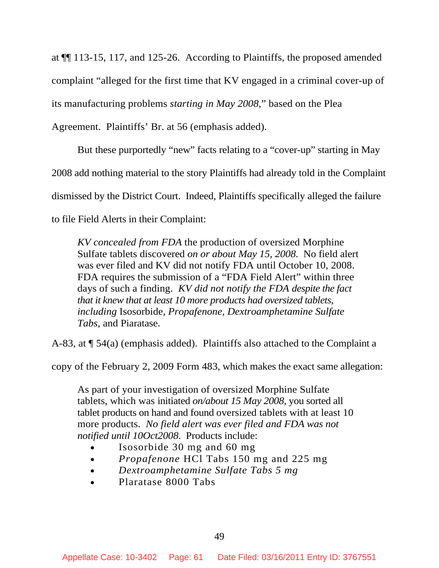at ¶¶ 113-15, 117, and 125-26. According to Plaintiffs, the proposed amended complaint "alleged for the first time that KV engaged in a criminal cover-up of its manufacturing problems *starting in May 2008*," based on the Plea

Agreement. Plaintiffs' Br. at 56 (emphasis added).

But these purportedly "new" facts relating to a "cover-up" starting in May

2008 add nothing material to the story Plaintiffs had already told in the Complaint

dismissed by the District Court. Indeed, Plaintiffs specifically alleged the failure

to file Field Alerts in their Complaint:

*KV concealed from FDA* the production of oversized Morphine Sulfate tablets discovered *on or about May 15, 2008*. No field alert was ever filed and KV did not notify FDA until October 10, 2008. FDA requires the submission of a "FDA Field Alert" within three days of such a finding. *KV did not notify the FDA despite the fact that it knew that at least 10 more products had oversized tablets, including* Isosorbide*, Propafenone, Dextroamphetamine Sulfate Tabs,* and Piaratase.

A-83, at ¶ 54(a) (emphasis added). Plaintiffs also attached to the Complaint a

copy of the February 2, 2009 Form 483, which makes the exact same allegation:

As part of your investigation of oversized Morphine Sulfate tablets, which was initiated *on/about 15 May 2008*, you sorted all tablet products on hand and found oversized tablets with at least 10 more products. *No field alert was ever filed and FDA was not notified until 10Oct2008*. Products include:

- Isosorbide 30 mg and 60 mg
- *Propafenone* HCl Tabs 150 mg and 225 mg
- *Dextroamphetamine Sulfate Tabs 5 mg*
- Plaratase 8000 Tabs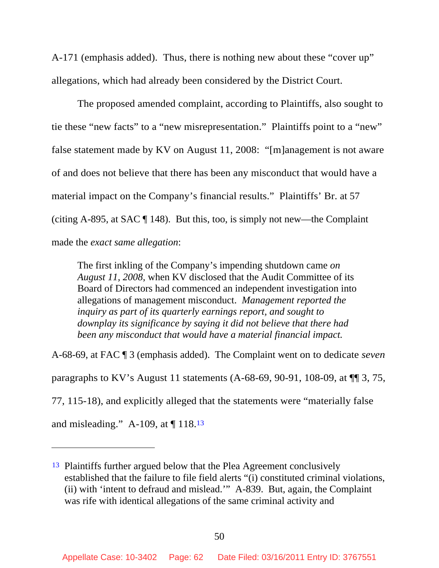A-171 (emphasis added). Thus, there is nothing new about these "cover up" allegations, which had already been considered by the District Court.

The proposed amended complaint, according to Plaintiffs, also sought to tie these "new facts" to a "new misrepresentation." Plaintiffs point to a "new" false statement made by KV on August 11, 2008: "[m]anagement is not aware of and does not believe that there has been any misconduct that would have a material impact on the Company's financial results." Plaintiffs' Br. at 57 (citing A-895, at SAC ¶ 148). But this, too, is simply not new—the Complaint made the *exact same allegation*:

The first inkling of the Company's impending shutdown came *on August 11, 2008*, when KV disclosed that the Audit Committee of its Board of Directors had commenced an independent investigation into allegations of management misconduct. *Management reported the inquiry as part of its quarterly earnings report, and sought to downplay its significance by saying it did not believe that there had been any misconduct that would have a material financial impact.* 

A-68-69, at FAC ¶ 3 (emphasis added). The Complaint went on to dedicate *seven*

paragraphs to KV's August 11 statements (A-68-69, 90-91, 108-09, at ¶¶ 3, 75,

77, 115-18), and explicitly alleged that the statements were "materially false

and misleading." A-109, at ¶ 118.13

<sup>&</sup>lt;sup>13</sup> Plaintiffs further argued below that the Plea Agreement conclusively established that the failure to file field alerts "(i) constituted criminal violations, (ii) with 'intent to defraud and mislead.'" A-839. But, again, the Complaint was rife with identical allegations of the same criminal activity and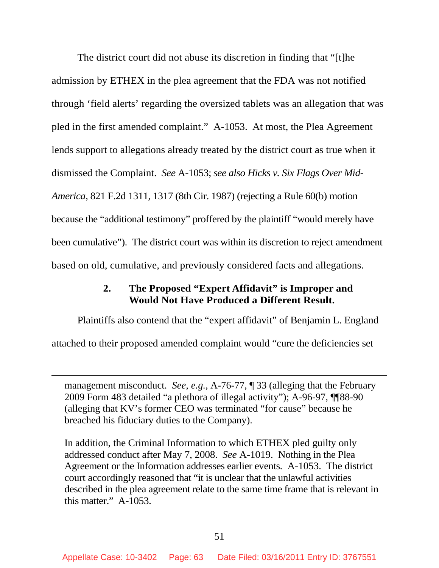The district court did not abuse its discretion in finding that "[t]he admission by ETHEX in the plea agreement that the FDA was not notified through 'field alerts' regarding the oversized tablets was an allegation that was pled in the first amended complaint." A-1053. At most, the Plea Agreement lends support to allegations already treated by the district court as true when it dismissed the Complaint. *See* A-1053; *see also Hicks v. Six Flags Over Mid-America*, 821 F.2d 1311, 1317 (8th Cir. 1987) (rejecting a Rule 60(b) motion because the "additional testimony" proffered by the plaintiff "would merely have been cumulative"). The district court was within its discretion to reject amendment based on old, cumulative, and previously considered facts and allegations.

## **2. The Proposed "Expert Affidavit" is Improper and Would Not Have Produced a Different Result.**

Plaintiffs also contend that the "expert affidavit" of Benjamin L. England attached to their proposed amended complaint would "cure the deficiencies set

 $\overline{a}$ 

management misconduct. *See, e.g.,* A-76-77, ¶ 33 (alleging that the February 2009 Form 483 detailed "a plethora of illegal activity"); A-96-97, ¶¶88-90 (alleging that KV's former CEO was terminated "for cause" because he breached his fiduciary duties to the Company).

In addition, the Criminal Information to which ETHEX pled guilty only addressed conduct after May 7, 2008. *See* A-1019. Nothing in the Plea Agreement or the Information addresses earlier events. A-1053. The district court accordingly reasoned that "it is unclear that the unlawful activities described in the plea agreement relate to the same time frame that is relevant in this matter." A-1053.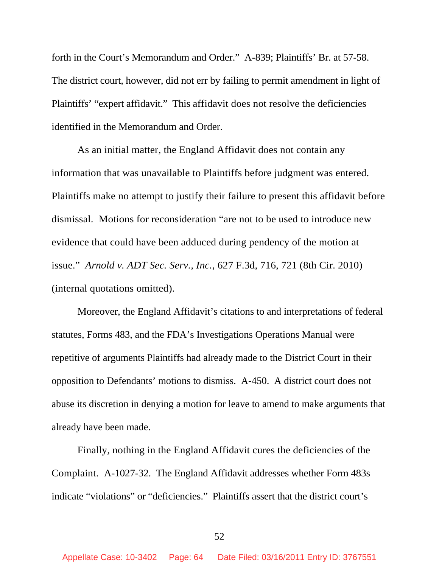forth in the Court's Memorandum and Order." A-839; Plaintiffs' Br. at 57-58. The district court, however, did not err by failing to permit amendment in light of Plaintiffs' "expert affidavit." This affidavit does not resolve the deficiencies identified in the Memorandum and Order.

As an initial matter, the England Affidavit does not contain any information that was unavailable to Plaintiffs before judgment was entered. Plaintiffs make no attempt to justify their failure to present this affidavit before dismissal. Motions for reconsideration "are not to be used to introduce new evidence that could have been adduced during pendency of the motion at issue." *Arnold v. ADT Sec. Serv., Inc.*, 627 F.3d, 716, 721 (8th Cir. 2010) (internal quotations omitted).

Moreover, the England Affidavit's citations to and interpretations of federal statutes, Forms 483, and the FDA's Investigations Operations Manual were repetitive of arguments Plaintiffs had already made to the District Court in their opposition to Defendants' motions to dismiss. A-450. A district court does not abuse its discretion in denying a motion for leave to amend to make arguments that already have been made.

Finally, nothing in the England Affidavit cures the deficiencies of the Complaint. A-1027-32. The England Affidavit addresses whether Form 483s indicate "violations" or "deficiencies." Plaintiffs assert that the district court's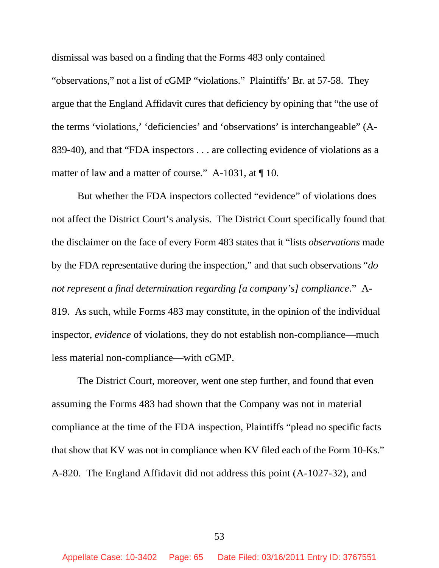dismissal was based on a finding that the Forms 483 only contained "observations," not a list of cGMP "violations." Plaintiffs' Br. at 57-58. They argue that the England Affidavit cures that deficiency by opining that "the use of the terms 'violations,' 'deficiencies' and 'observations' is interchangeable" (A-839-40), and that "FDA inspectors . . . are collecting evidence of violations as a matter of law and a matter of course." A-1031, at  $\P$  10.

But whether the FDA inspectors collected "evidence" of violations does not affect the District Court's analysis. The District Court specifically found that the disclaimer on the face of every Form 483 states that it "lists *observations* made by the FDA representative during the inspection," and that such observations "*do not represent a final determination regarding [a company's] compliance*." A-819. As such, while Forms 483 may constitute, in the opinion of the individual inspector, *evidence* of violations, they do not establish non-compliance—much less material non-compliance—with cGMP.

The District Court, moreover, went one step further, and found that even assuming the Forms 483 had shown that the Company was not in material compliance at the time of the FDA inspection, Plaintiffs "plead no specific facts that show that KV was not in compliance when KV filed each of the Form 10-Ks." A-820. The England Affidavit did not address this point (A-1027-32), and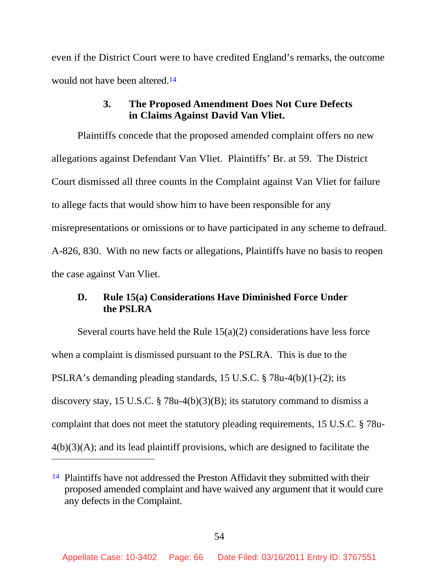even if the District Court were to have credited England's remarks, the outcome would not have been altered.<sup>14</sup>

## **3. The Proposed Amendment Does Not Cure Defects in Claims Against David Van Vliet.**

Plaintiffs concede that the proposed amended complaint offers no new allegations against Defendant Van Vliet. Plaintiffs' Br. at 59. The District Court dismissed all three counts in the Complaint against Van Vliet for failure to allege facts that would show him to have been responsible for any misrepresentations or omissions or to have participated in any scheme to defraud. A-826, 830. With no new facts or allegations, Plaintiffs have no basis to reopen the case against Van Vliet.

## **D. Rule 15(a) Considerations Have Diminished Force Under the PSLRA**

Several courts have held the Rule 15(a)(2) considerations have less force when a complaint is dismissed pursuant to the PSLRA. This is due to the PSLRA's demanding pleading standards, 15 U.S.C. § 78u-4(b)(1)-(2); its discovery stay, 15 U.S.C. § 78u-4(b)(3)(B); its statutory command to dismiss a complaint that does not meet the statutory pleading requirements, 15 U.S.C. § 78u- $4(b)(3)(A)$ ; and its lead plaintiff provisions, which are designed to facilitate the  $\overline{a}$ 

<sup>&</sup>lt;sup>14</sup> Plaintiffs have not addressed the Preston Affidavit they submitted with their proposed amended complaint and have waived any argument that it would cure any defects in the Complaint.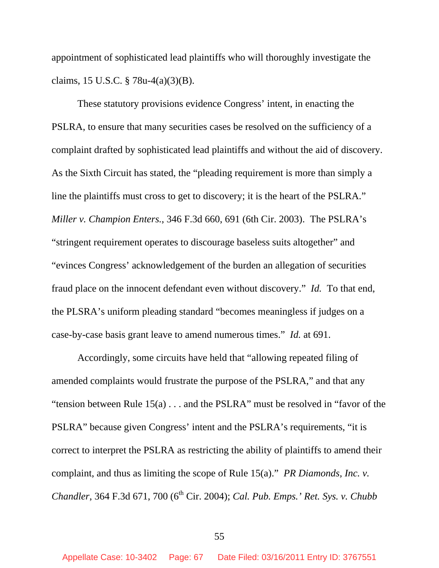appointment of sophisticated lead plaintiffs who will thoroughly investigate the claims, 15 U.S.C. § 78u-4(a)(3)(B).

These statutory provisions evidence Congress' intent, in enacting the PSLRA, to ensure that many securities cases be resolved on the sufficiency of a complaint drafted by sophisticated lead plaintiffs and without the aid of discovery. As the Sixth Circuit has stated, the "pleading requirement is more than simply a line the plaintiffs must cross to get to discovery; it is the heart of the PSLRA." *Miller v. Champion Enters.*, 346 F.3d 660, 691 (6th Cir. 2003).The PSLRA's "stringent requirement operates to discourage baseless suits altogether" and "evinces Congress' acknowledgement of the burden an allegation of securities fraud place on the innocent defendant even without discovery." *Id.* To that end, the PLSRA's uniform pleading standard "becomes meaningless if judges on a case-by-case basis grant leave to amend numerous times." *Id.* at 691.

Accordingly, some circuits have held that "allowing repeated filing of amended complaints would frustrate the purpose of the PSLRA," and that any "tension between Rule 15(a) . . . and the PSLRA" must be resolved in "favor of the PSLRA" because given Congress' intent and the PSLRA's requirements, "it is correct to interpret the PSLRA as restricting the ability of plaintiffs to amend their complaint, and thus as limiting the scope of Rule 15(a)." *PR Diamonds, Inc. v. Chandler*, 364 F.3d 671, 700 (6<sup>th</sup> Cir. 2004); *Cal. Pub. Emps.' Ret. Sys. v. Chubb*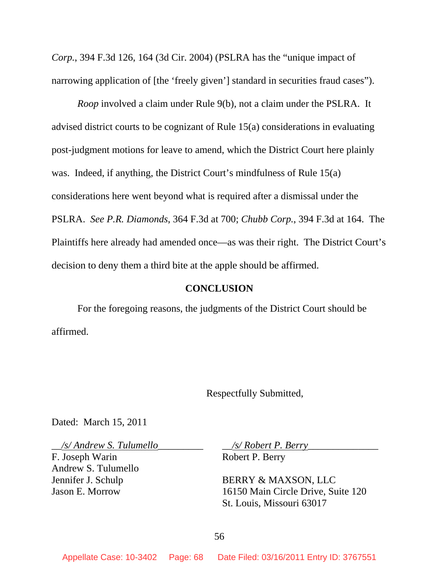*Corp.*, 394 F.3d 126, 164 (3d Cir. 2004) (PSLRA has the "unique impact of narrowing application of [the 'freely given'] standard in securities fraud cases").

*Roop* involved a claim under Rule 9(b), not a claim under the PSLRA. It advised district courts to be cognizant of Rule 15(a) considerations in evaluating post-judgment motions for leave to amend, which the District Court here plainly was. Indeed, if anything, the District Court's mindfulness of Rule 15(a) considerations here went beyond what is required after a dismissal under the PSLRA. *See P.R. Diamonds*, 364 F.3d at 700; *Chubb Corp.*, 394 F.3d at 164.The Plaintiffs here already had amended once—as was their right. The District Court's decision to deny them a third bite at the apple should be affirmed.

#### **CONCLUSION**

For the foregoing reasons, the judgments of the District Court should be affirmed.

Respectfully Submitted,

Dated: March 15, 2011

*\_\_/s/ Andrew S. Tulumello*\_\_\_\_\_\_\_\_\_

F. Joseph Warin Andrew S. Tulumello Jennifer J. Schulp Jason E. Morrow

*\_\_/s/ Robert P. Berry*\_\_\_\_\_\_\_\_\_\_\_\_\_\_

Robert P. Berry

BERRY & MAXSON, LLC 16150 Main Circle Drive, Suite 120 St. Louis, Missouri 63017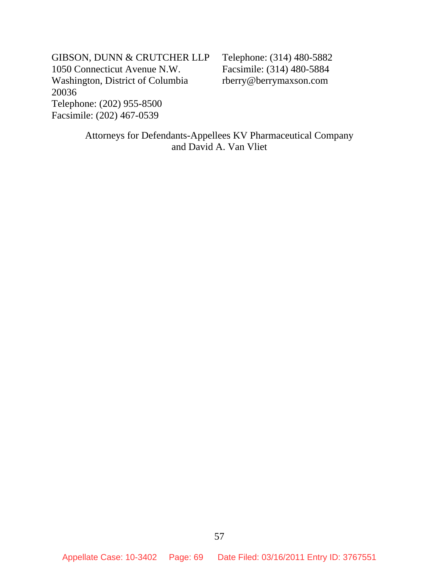GIBSON, DUNN & CRUTCHER LLP 1050 Connecticut Avenue N.W. Washington, District of Columbia 20036 Telephone: (202) 955-8500 Facsimile: (202) 467-0539

Telephone: (314) 480-5882 Facsimile: (314) 480-5884 rberry@berrymaxson.com

Attorneys for Defendants-Appellees KV Pharmaceutical Company and David A. Van Vliet

Appellate Case: 10-3402 Page: 69 Date Filed: 03/16/2011 Entry ID: 3767551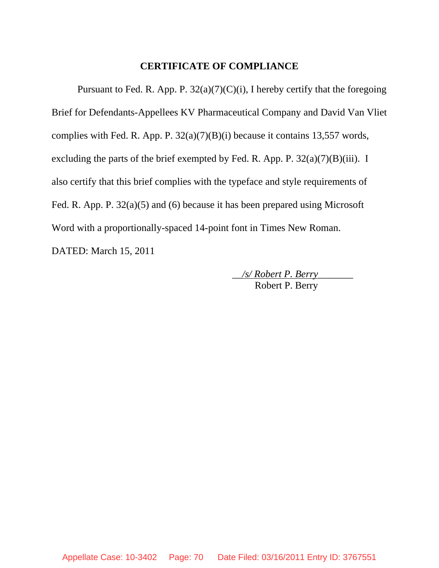## **CERTIFICATE OF COMPLIANCE**

Pursuant to Fed. R. App. P.  $32(a)(7)(C)(i)$ , I hereby certify that the foregoing Brief for Defendants-Appellees KV Pharmaceutical Company and David Van Vliet complies with Fed. R. App. P. 32(a)(7)(B)(i) because it contains 13,557 words, excluding the parts of the brief exempted by Fed. R. App. P.  $32(a)(7)(B)(iii)$ . I also certify that this brief complies with the typeface and style requirements of Fed. R. App. P. 32(a)(5) and (6) because it has been prepared using Microsoft Word with a proportionally-spaced 14-point font in Times New Roman. DATED: March 15, 2011

> *\_\_/s/ Robert P. Berry*\_\_\_\_\_\_\_ Robert P. Berry